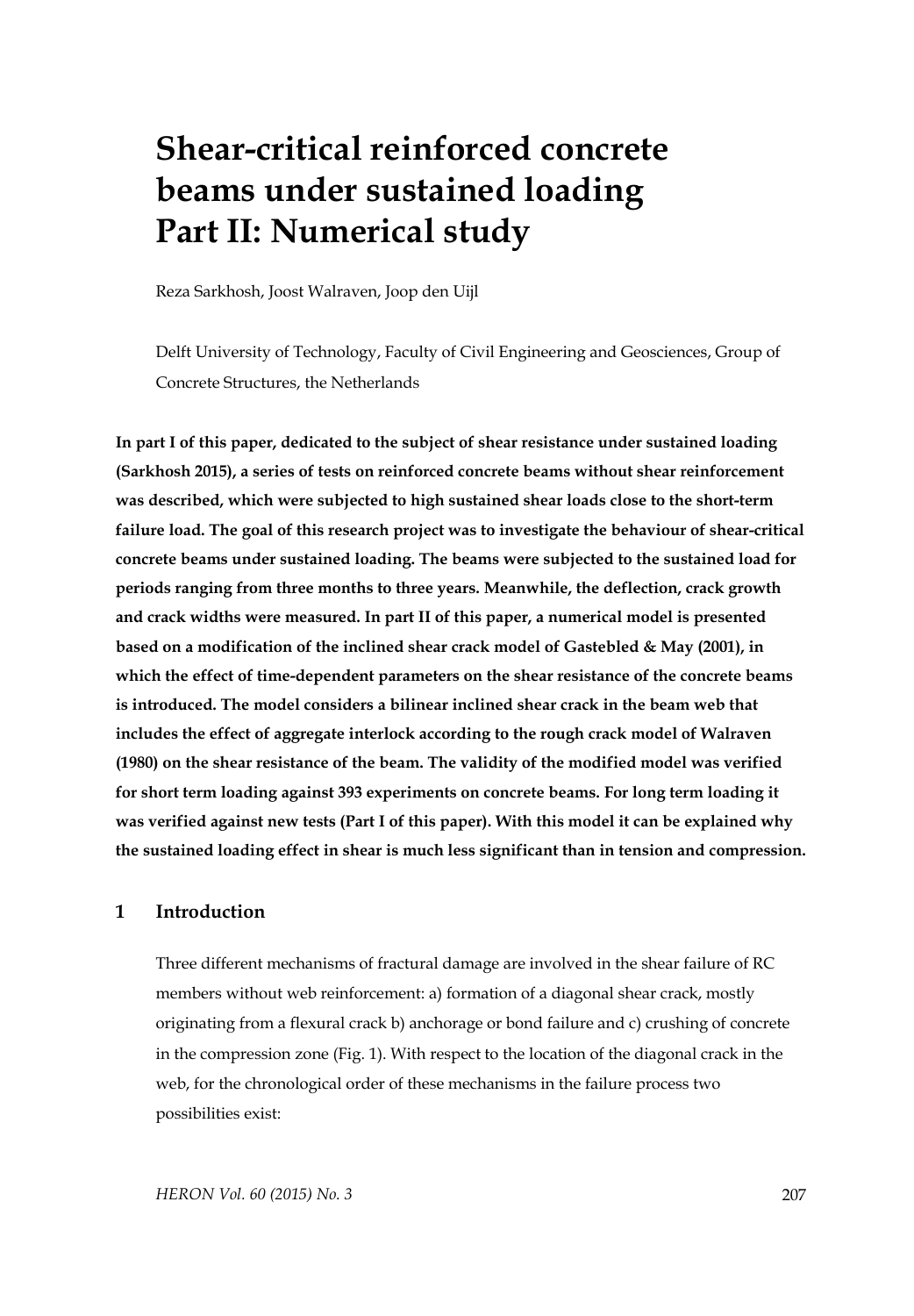# **Shear-critical reinforced concrete beams under sustained loading Part II: Numerical study**

Reza Sarkhosh, Joost Walraven, Joop den Uijl

Delft University of Technology, Faculty of Civil Engineering and Geosciences, Group of Concrete Structures, the Netherlands

**In part I of this paper, dedicated to the subject of shear resistance under sustained loading (Sarkhosh 2015), a series of tests on reinforced concrete beams without shear reinforcement was described, which were subjected to high sustained shear loads close to the short-term failure load. The goal of this research project was to investigate the behaviour of shear-critical concrete beams under sustained loading. The beams were subjected to the sustained load for periods ranging from three months to three years. Meanwhile, the deflection, crack growth and crack widths were measured. In part II of this paper, a numerical model is presented based on a modification of the inclined shear crack model of Gastebled & May (2001), in which the effect of time-dependent parameters on the shear resistance of the concrete beams is introduced. The model considers a bilinear inclined shear crack in the beam web that includes the effect of aggregate interlock according to the rough crack model of Walraven (1980) on the shear resistance of the beam. The validity of the modified model was verified for short term loading against 393 experiments on concrete beams. For long term loading it was verified against new tests (Part I of this paper). With this model it can be explained why the sustained loading effect in shear is much less significant than in tension and compression.** 

## **1 Introduction**

Three different mechanisms of fractural damage are involved in the shear failure of RC members without web reinforcement: a) formation of a diagonal shear crack, mostly originating from a flexural crack b) anchorage or bond failure and c) crushing of concrete in the compression zone (Fig. 1). With respect to the location of the diagonal crack in the web, for the chronological order of these mechanisms in the failure process two possibilities exist: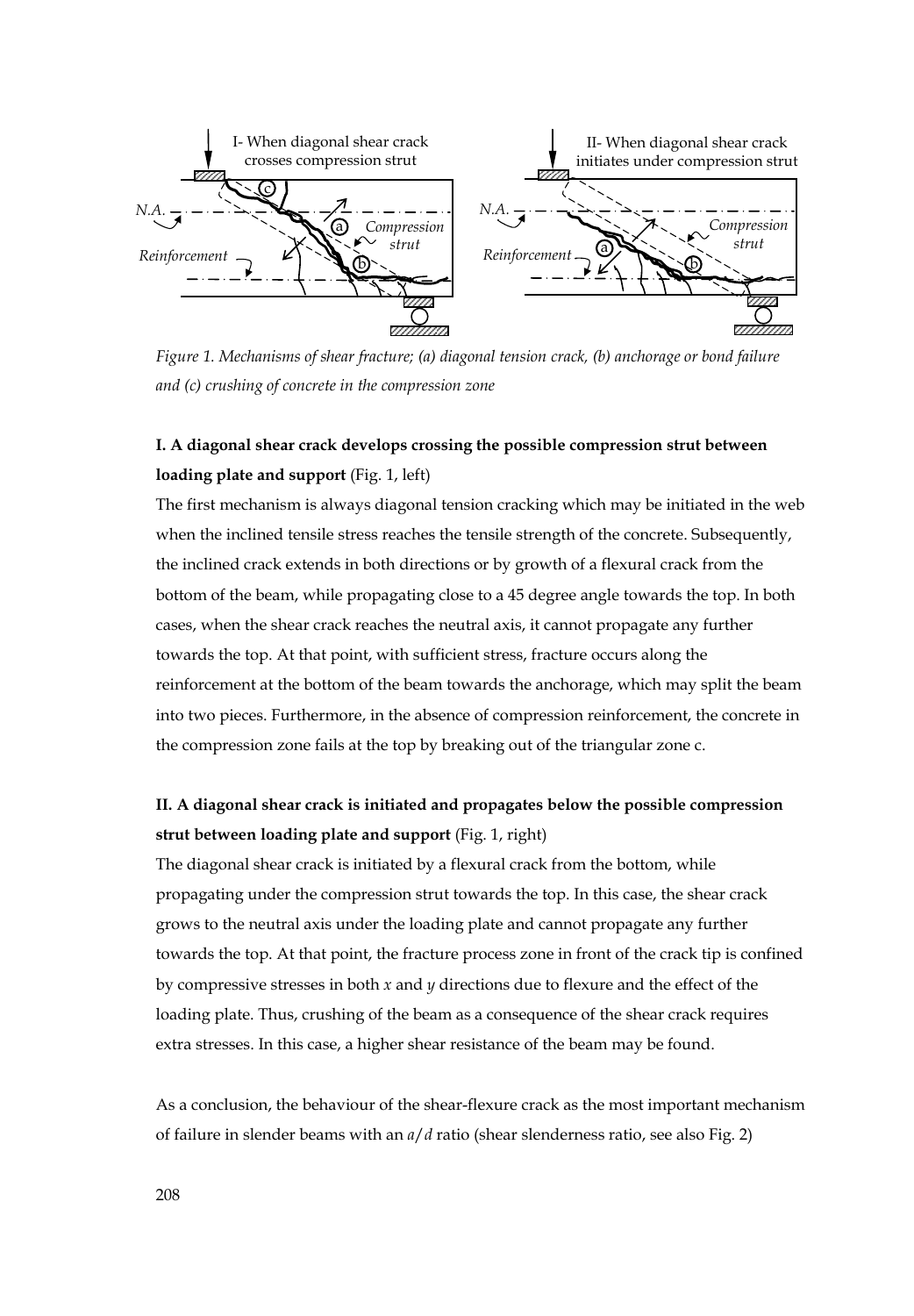

*Figure 1. Mechanisms of shear fracture; (a) diagonal tension crack, (b) anchorage or bond failure and (c) crushing of concrete in the compression zone* 

# **I. A diagonal shear crack develops crossing the possible compression strut between loading plate and support** (Fig. 1, left)

The first mechanism is always diagonal tension cracking which may be initiated in the web when the inclined tensile stress reaches the tensile strength of the concrete. Subsequently, the inclined crack extends in both directions or by growth of a flexural crack from the bottom of the beam, while propagating close to a 45 degree angle towards the top. In both cases, when the shear crack reaches the neutral axis, it cannot propagate any further towards the top. At that point, with sufficient stress, fracture occurs along the reinforcement at the bottom of the beam towards the anchorage, which may split the beam into two pieces. Furthermore, in the absence of compression reinforcement, the concrete in the compression zone fails at the top by breaking out of the triangular zone c.

# **II. A diagonal shear crack is initiated and propagates below the possible compression strut between loading plate and support** (Fig. 1, right)

The diagonal shear crack is initiated by a flexural crack from the bottom, while propagating under the compression strut towards the top. In this case, the shear crack grows to the neutral axis under the loading plate and cannot propagate any further towards the top. At that point, the fracture process zone in front of the crack tip is confined by compressive stresses in both *x* and *y* directions due to flexure and the effect of the loading plate. Thus, crushing of the beam as a consequence of the shear crack requires extra stresses. In this case, a higher shear resistance of the beam may be found.

As a conclusion, the behaviour of the shear-flexure crack as the most important mechanism of failure in slender beams with an *a*/*d* ratio (shear slenderness ratio, see also Fig. 2)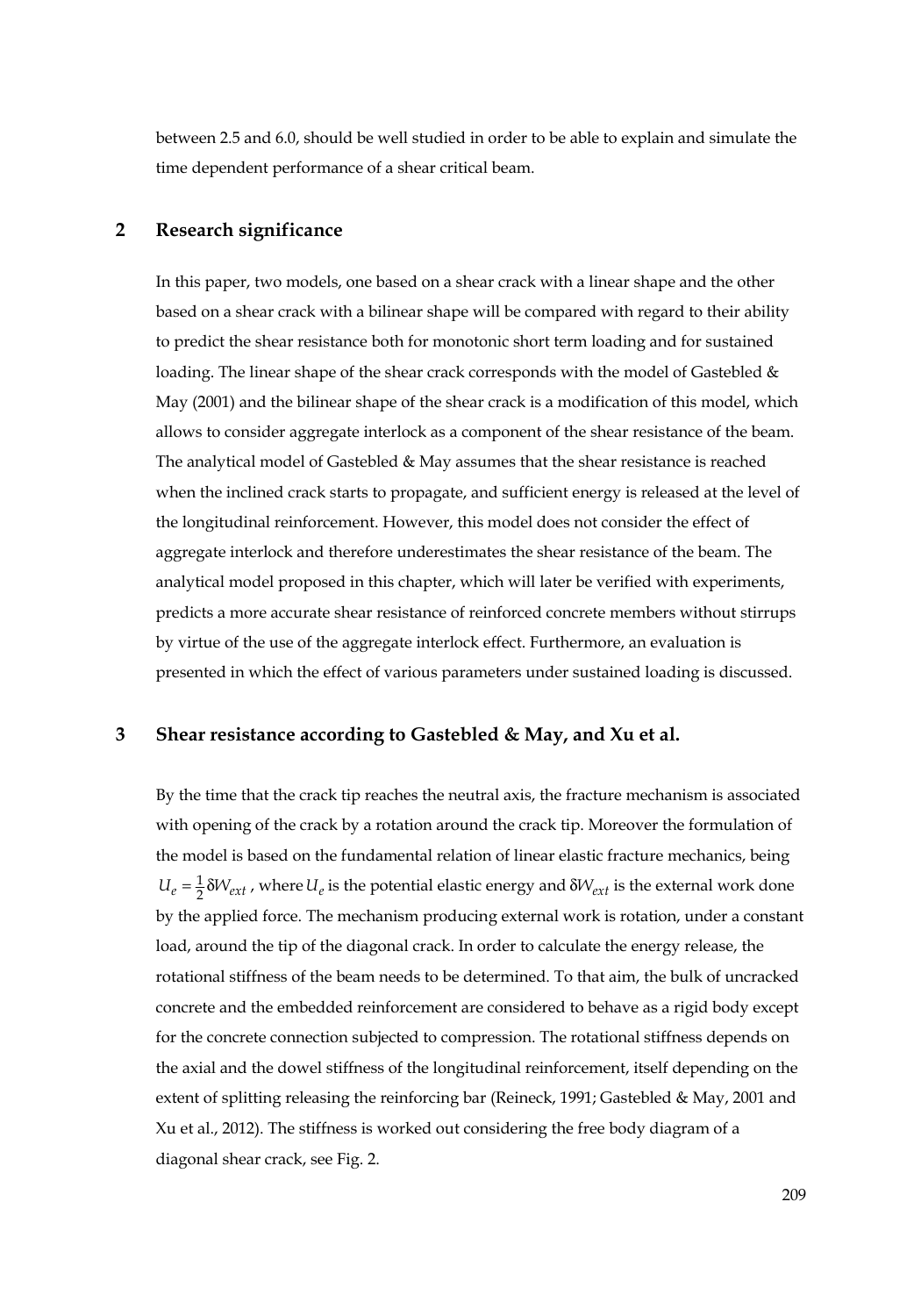between 2.5 and 6.0, should be well studied in order to be able to explain and simulate the time dependent performance of a shear critical beam.

## **2 Research significance**

In this paper, two models, one based on a shear crack with a linear shape and the other based on a shear crack with a bilinear shape will be compared with regard to their ability to predict the shear resistance both for monotonic short term loading and for sustained loading. The linear shape of the shear crack corresponds with the model of Gastebled & May (2001) and the bilinear shape of the shear crack is a modification of this model, which allows to consider aggregate interlock as a component of the shear resistance of the beam. The analytical model of Gastebled & May assumes that the shear resistance is reached when the inclined crack starts to propagate, and sufficient energy is released at the level of the longitudinal reinforcement. However, this model does not consider the effect of aggregate interlock and therefore underestimates the shear resistance of the beam. The analytical model proposed in this chapter, which will later be verified with experiments, predicts a more accurate shear resistance of reinforced concrete members without stirrups by virtue of the use of the aggregate interlock effect. Furthermore, an evaluation is presented in which the effect of various parameters under sustained loading is discussed.

#### **3 Shear resistance according to Gastebled & May, and Xu et al.**

By the time that the crack tip reaches the neutral axis, the fracture mechanism is associated with opening of the crack by a rotation around the crack tip. Moreover the formulation of the model is based on the fundamental relation of linear elastic fracture mechanics, being  $U_e = \frac{1}{2} \delta W_{ext}$ , where  $U_e$  is the potential elastic energy and  $\delta W_{ext}$  is the external work done by the applied force. The mechanism producing external work is rotation, under a constant load, around the tip of the diagonal crack. In order to calculate the energy release, the rotational stiffness of the beam needs to be determined. To that aim, the bulk of uncracked concrete and the embedded reinforcement are considered to behave as a rigid body except for the concrete connection subjected to compression. The rotational stiffness depends on the axial and the dowel stiffness of the longitudinal reinforcement, itself depending on the extent of splitting releasing the reinforcing bar (Reineck, 1991; Gastebled & May, 2001 and Xu et al., 2012). The stiffness is worked out considering the free body diagram of a diagonal shear crack, see Fig. 2.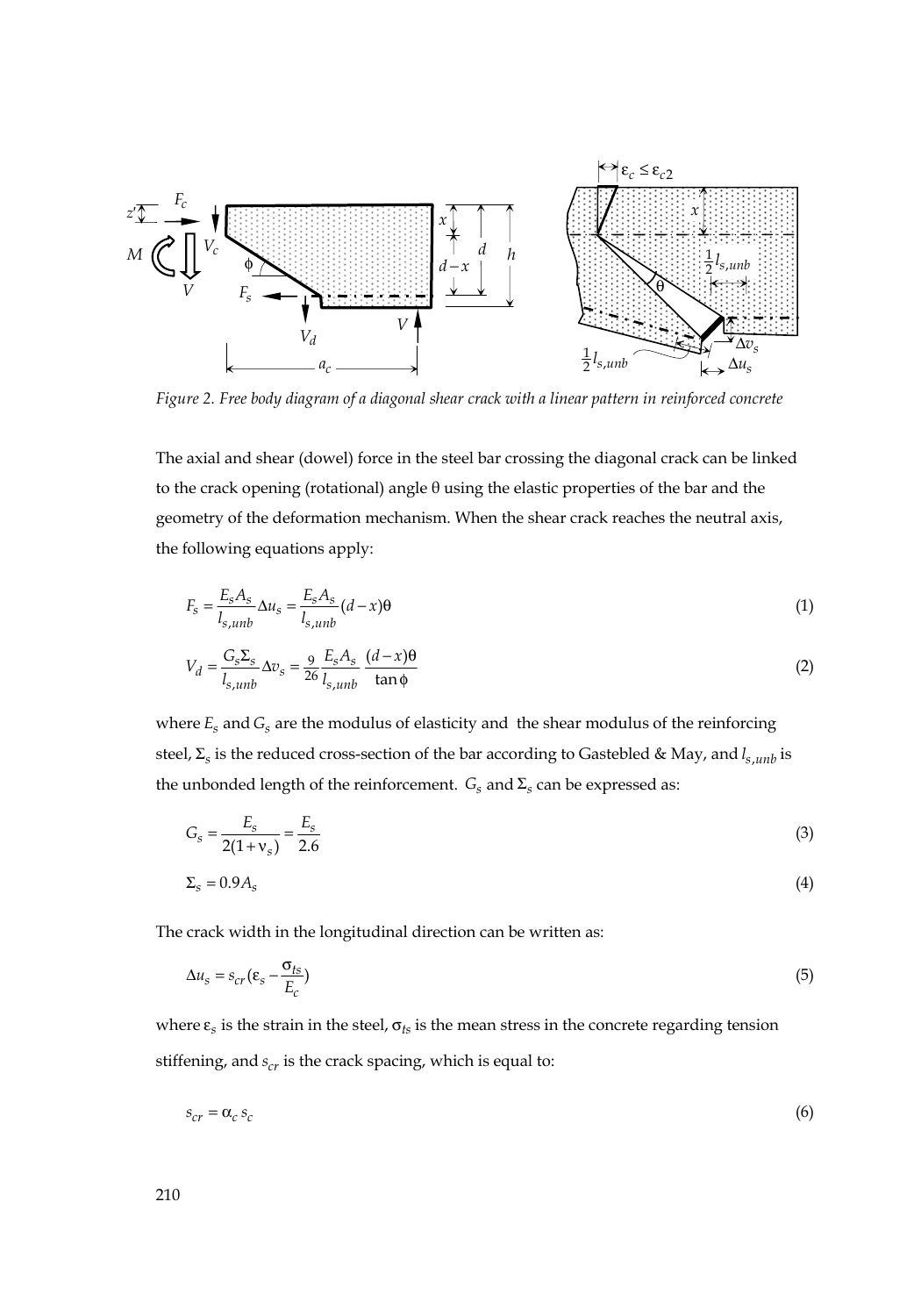

*Figure 2. Free body diagram of a diagonal shear crack with a linear pattern in reinforced concrete* 

The axial and shear (dowel) force in the steel bar crossing the diagonal crack can be linked to the crack opening (rotational) angle θ using the elastic properties of the bar and the geometry of the deformation mechanism. When the shear crack reaches the neutral axis, the following equations apply:

$$
F_s = \frac{E_s A_s}{l_{s,umb}} \Delta u_s = \frac{E_s A_s}{l_{s,umb}} (d - x)\theta
$$
\n(1)

$$
V_d = \frac{G_s \Sigma_s}{l_{s,unb}} \Delta v_s = \frac{9}{26} \frac{E_s A_s}{l_{s,unb}} \frac{(d - x)\theta}{\tan \phi}
$$
 (2)

where  $E_s$  and  $G_s$  are the modulus of elasticity and the shear modulus of the reinforcing steel,  $\Sigma_s$  is the reduced cross-section of the bar according to Gastebled & May, and  $l_{s,umb}$  is the unbonded length of the reinforcement.  $G_s$  and  $\Sigma_s$  can be expressed as:

$$
G_s = \frac{E_s}{2(1 + v_s)} = \frac{E_s}{2.6}
$$
\n(3)

$$
\Sigma_s = 0.9A_s \tag{4}
$$

The crack width in the longitudinal direction can be written as:

$$
\Delta u_s = s_{cr} (\varepsilon_s - \frac{\sigma_{ts}}{E_c})
$$
\n<sup>(5)</sup>

where  $\varepsilon$ <sub>s</sub> is the strain in the steel,  $\sigma$ <sub>ts</sub> is the mean stress in the concrete regarding tension stiffening, and  $s_{cr}$  is the crack spacing, which is equal to:

$$
s_{cr} = \alpha_c s_c \tag{6}
$$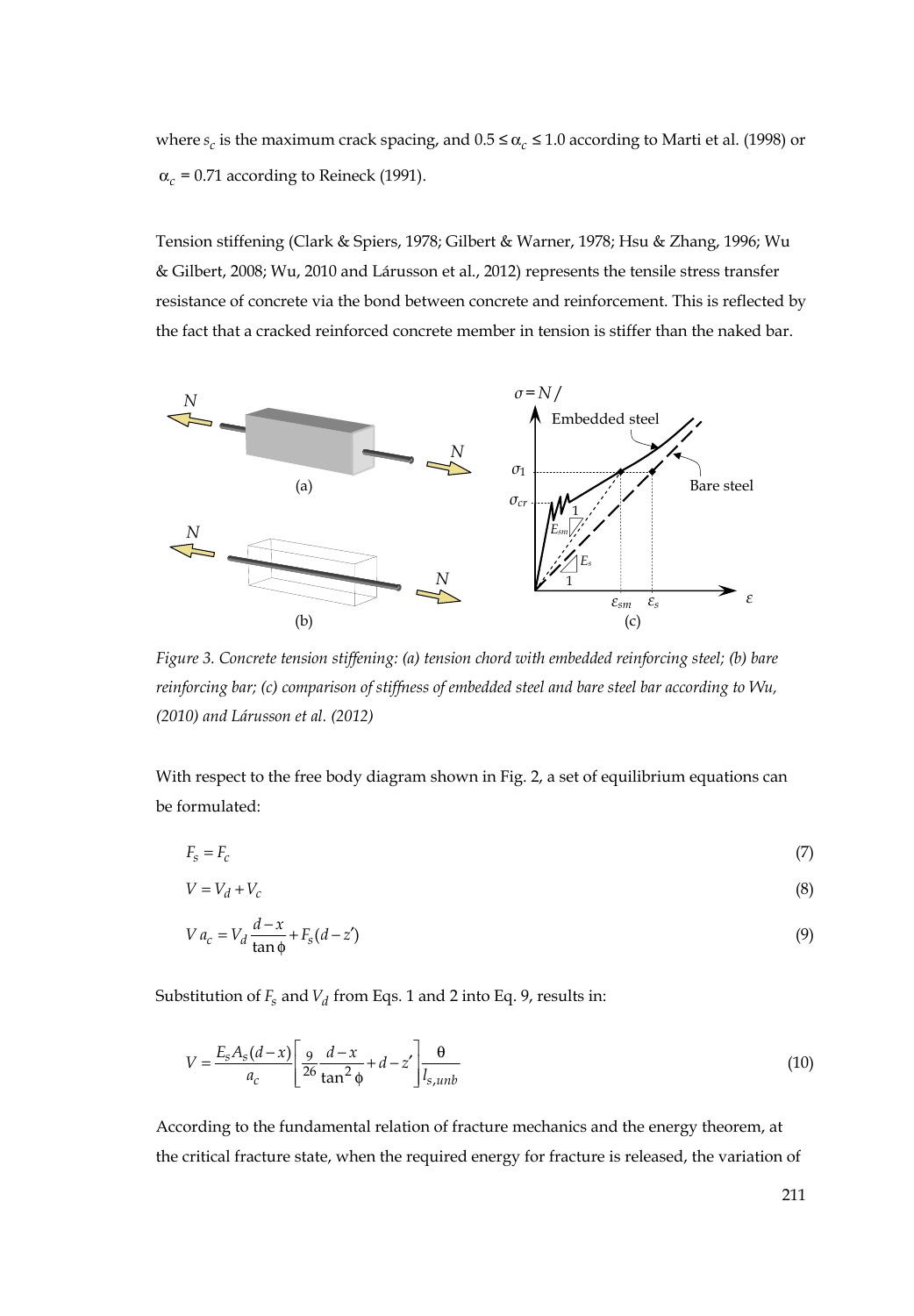where  $s_c$  is the maximum crack spacing, and  $0.5 \leq \alpha_c \leq 1.0$  according to Marti et al. (1998) or  $\alpha_c$  = 0.71 according to Reineck (1991).

Tension stiffening (Clark & Spiers, 1978; Gilbert & Warner, 1978; Hsu & Zhang, 1996; Wu & Gilbert, 2008; Wu, 2010 and Lárusson et al., 2012) represents the tensile stress transfer resistance of concrete via the bond between concrete and reinforcement. This is reflected by the fact that a cracked reinforced concrete member in tension is stiffer than the naked bar.



*Figure 3. Concrete tension stiffening: (a) tension chord with embedded reinforcing steel; (b) bare reinforcing bar; (c) comparison of stiffness of embedded steel and bare steel bar according to Wu, (2010) and Lárusson et al. (2012)*

With respect to the free body diagram shown in Fig. 2, a set of equilibrium equations can be formulated:

$$
F_s = F_c \tag{7}
$$

$$
V = V_d + V_c \tag{8}
$$

$$
V a_c = V_d \frac{d - x}{\tan \phi} + F_s (d - z') \tag{9}
$$

Substitution of  $F_s$  and  $V_d$  from Eqs. 1 and 2 into Eq. 9, results in:

$$
V = \frac{E_s A_s (d - x)}{a_c} \left[ \frac{9}{26} \frac{d - x}{\tan^2 \phi} + d - z' \right] \frac{\theta}{l_{s,unb}}
$$
(10)

According to the fundamental relation of fracture mechanics and the energy theorem, at the critical fracture state, when the required energy for fracture is released, the variation of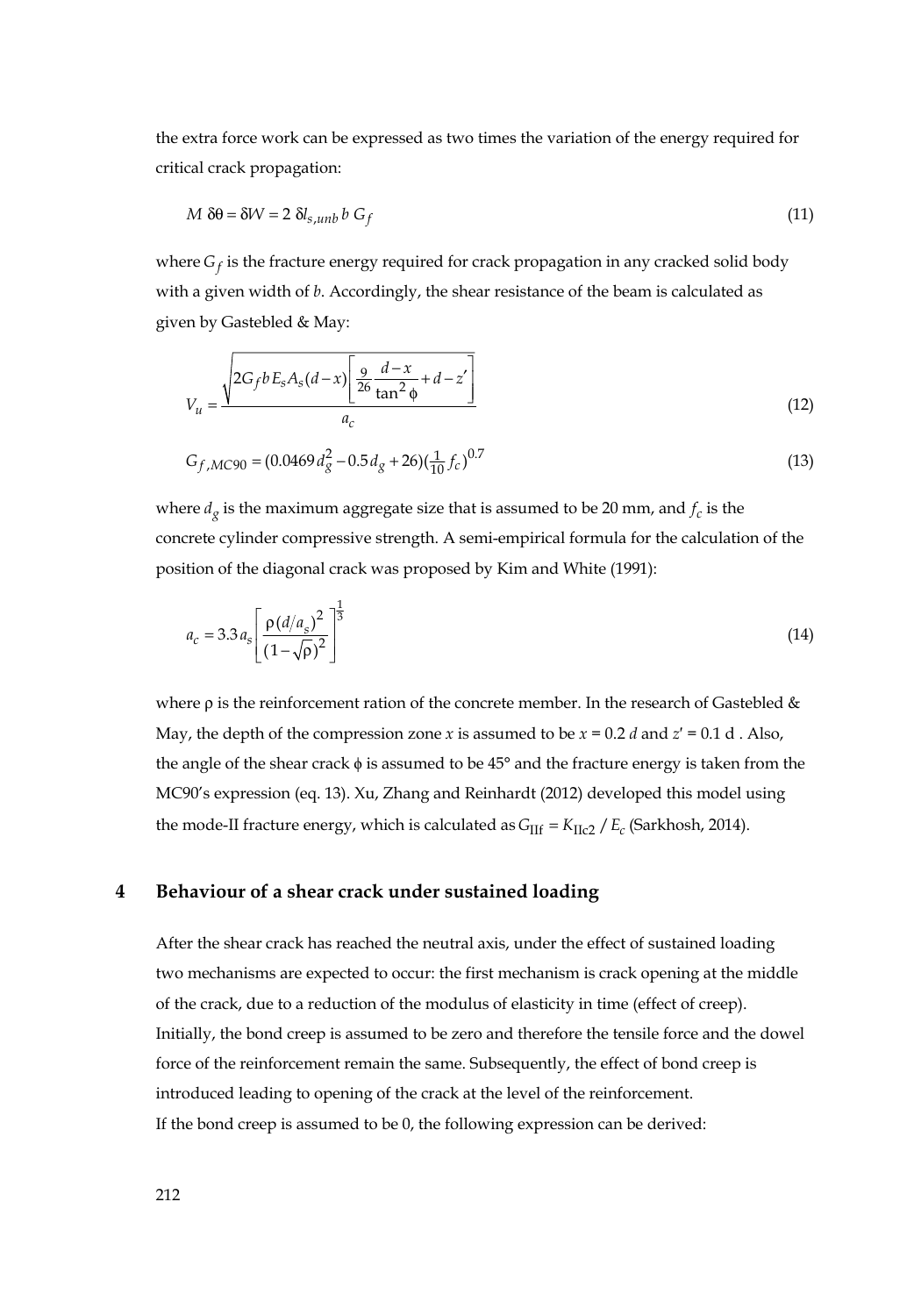the extra force work can be expressed as two times the variation of the energy required for critical crack propagation:

$$
M \, \delta\theta = \delta W = 2 \, \delta l_{s,umb} \, b \, G_f \tag{11}
$$

where  $G_f$  is the fracture energy required for crack propagation in any cracked solid body with a given width of *b*. Accordingly, the shear resistance of the beam is calculated as given by Gastebled & May:

$$
V_u = \frac{\sqrt{2G_f b E_s A_s (d - x) \left[ \frac{9}{26} \frac{d - x}{\tan^2 \phi} + d - z' \right]}}{a_c}
$$
(12)

$$
G_{f,MC90} = (0.0469 d_g^2 - 0.5 d_g + 26)(\frac{1}{10} f_c)^{0.7}
$$
\n(13)

where  $d<sub>o</sub>$  is the maximum aggregate size that is assumed to be 20 mm, and  $f<sub>c</sub>$  is the concrete cylinder compressive strength. A semi-empirical formula for the calculation of the position of the diagonal crack was proposed by Kim and White (1991):

$$
a_c = 3.3 a_s \left[ \frac{\rho (d/a_s)^2}{(1 - \sqrt{\rho})^2} \right]^{\frac{1}{3}}
$$
(14)

where  $\rho$  is the reinforcement ration of the concrete member. In the research of Gastebled & May, the depth of the compression zone *x* is assumed to be  $x = 0.2$  *d* and  $z' = 0.1$  d . Also, the angle of the shear crack ϕ is assumed to be 45° and the fracture energy is taken from the MC90's expression (eq. 13). Xu, Zhang and Reinhardt (2012) developed this model using the mode-II fracture energy, which is calculated as  $G_{\text{III}} = K_{\text{IIc2}} / E_c$  (Sarkhosh, 2014).

#### **4 Behaviour of a shear crack under sustained loading**

After the shear crack has reached the neutral axis, under the effect of sustained loading two mechanisms are expected to occur: the first mechanism is crack opening at the middle of the crack, due to a reduction of the modulus of elasticity in time (effect of creep). Initially, the bond creep is assumed to be zero and therefore the tensile force and the dowel force of the reinforcement remain the same. Subsequently, the effect of bond creep is introduced leading to opening of the crack at the level of the reinforcement. If the bond creep is assumed to be 0, the following expression can be derived: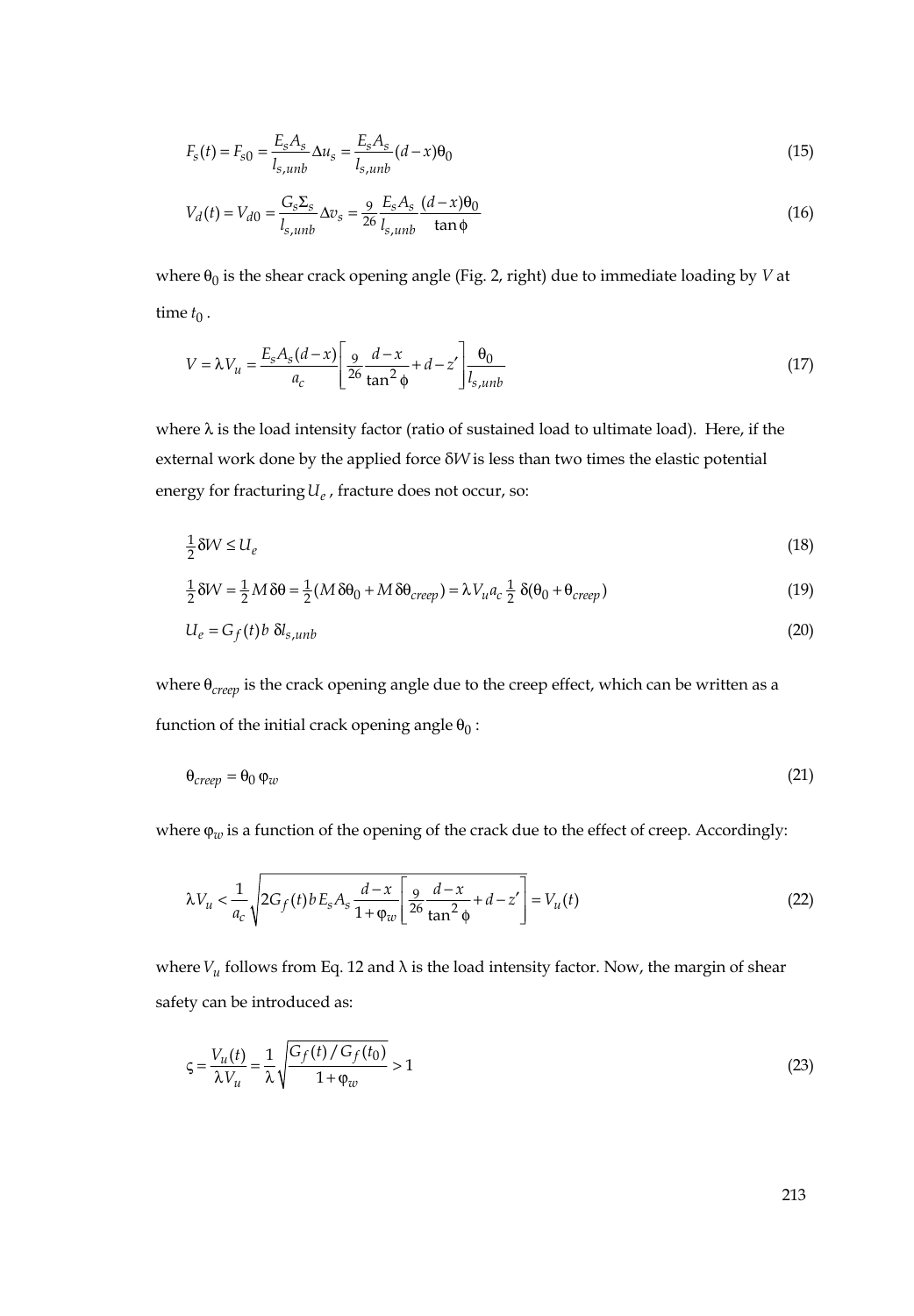$$
F_s(t) = F_{s0} = \frac{E_s A_s}{l_{s,unb}} \Delta u_s = \frac{E_s A_s}{l_{s,unb}} (d - x) \Theta_0
$$
\n(15)

$$
V_d(t) = V_{d0} = \frac{G_s \Sigma_s}{l_{s,unb}} \Delta v_s = \frac{9}{26} \frac{E_s A_s}{l_{s,unb}} \frac{(d - x)\theta_0}{\tan \phi}
$$
(16)

where  $\theta_0$  is the shear crack opening angle (Fig. 2, right) due to immediate loading by *V* at time  $t_0$ .

$$
V = \lambda V_u = \frac{E_s A_s (d - x)}{a_c} \left[ \frac{9}{26} \frac{d - x}{\tan^2 \phi} + d - z' \right] \frac{\theta_0}{l_{s,umb}}
$$
(17)

where  $\lambda$  is the load intensity factor (ratio of sustained load to ultimate load). Here, if the external work done by the applied force δ*W* is less than two times the elastic potential energy for fracturing  $U_e$ , fracture does not occur, so:

$$
\frac{1}{2}\delta W \le U_e \tag{18}
$$

$$
\frac{1}{2}\delta W = \frac{1}{2}M\delta\theta = \frac{1}{2}(M\delta\theta_0 + M\delta\theta_{creep}) = \lambda V_u a_c \frac{1}{2}\delta(\theta_0 + \theta_{creep})
$$
\n(19)

$$
U_e = G_f(t) b \, \delta l_{s,unb} \tag{20}
$$

where θ<sub>creep</sub> is the crack opening angle due to the creep effect, which can be written as a function of the initial crack opening angle  $\theta_0$ :

$$
\Theta_{creep} = \Theta_0 \,\varphi_w \tag{21}
$$

where φ<sub>*w*</sub> is a function of the opening of the crack due to the effect of creep. Accordingly:

$$
\lambda V_u < \frac{1}{a_c} \sqrt{2G_f(t)bE_sA_s\frac{d-x}{1+\varphi_w} \left[\frac{9}{26}\frac{d-x}{\tan^2\phi} + d - z'\right]} = V_u(t) \tag{22}
$$

where  $V_u$  follows from Eq. 12 and  $\lambda$  is the load intensity factor. Now, the margin of shear safety can be introduced as:

$$
\varsigma = \frac{V_u(t)}{\lambda V_u} = \frac{1}{\lambda} \sqrt{\frac{G_f(t) / G_f(t_0)}{1 + \varphi_w}} > 1
$$
\n(23)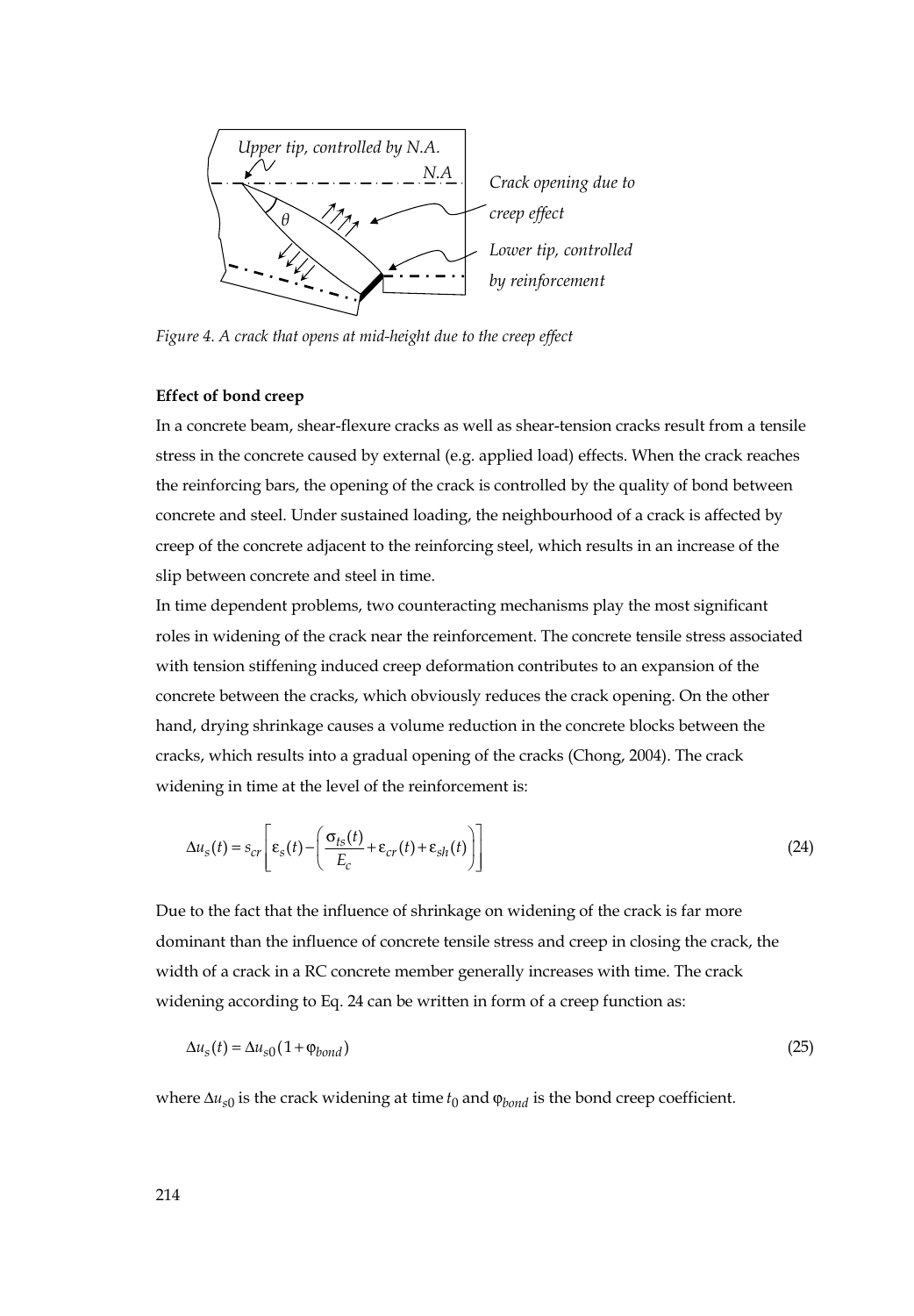

*Figure 4. A crack that opens at mid-height due to the creep effect* 

#### **Effect of bond creep**

In a concrete beam, shear-flexure cracks as well as shear-tension cracks result from a tensile stress in the concrete caused by external (e.g. applied load) effects. When the crack reaches the reinforcing bars, the opening of the crack is controlled by the quality of bond between concrete and steel. Under sustained loading, the neighbourhood of a crack is affected by creep of the concrete adjacent to the reinforcing steel, which results in an increase of the slip between concrete and steel in time.

In time dependent problems, two counteracting mechanisms play the most significant roles in widening of the crack near the reinforcement. The concrete tensile stress associated with tension stiffening induced creep deformation contributes to an expansion of the concrete between the cracks, which obviously reduces the crack opening. On the other hand, drying shrinkage causes a volume reduction in the concrete blocks between the cracks, which results into a gradual opening of the cracks (Chong, 2004). The crack widening in time at the level of the reinforcement is:

$$
\Delta u_s(t) = s_{cr} \left[ \varepsilon_s(t) - \left( \frac{\sigma_{ts}(t)}{E_c} + \varepsilon_{cr}(t) + \varepsilon_{sh}(t) \right) \right]
$$
(24)

Due to the fact that the influence of shrinkage on widening of the crack is far more dominant than the influence of concrete tensile stress and creep in closing the crack, the width of a crack in a RC concrete member generally increases with time. The crack widening according to Eq. 24 can be written in form of a creep function as:

$$
\Delta u_s(t) = \Delta u_{s0} (1 + \varphi_{bond})
$$
\n(25)

where  $\Delta u_{s0}$  is the crack widening at time  $t_0$  and  $\varphi_{bond}$  is the bond creep coefficient.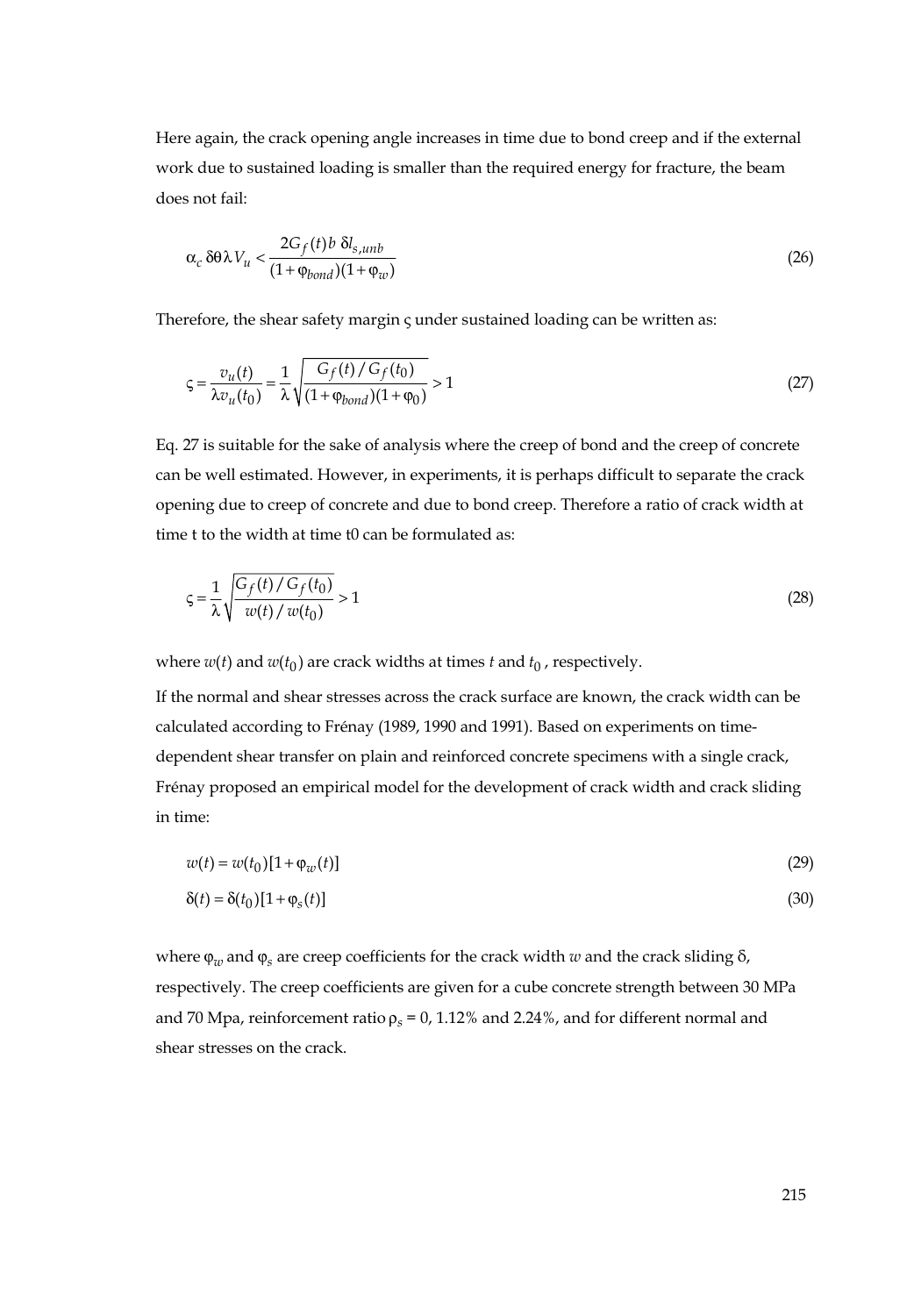Here again, the crack opening angle increases in time due to bond creep and if the external work due to sustained loading is smaller than the required energy for fracture, the beam does not fail:

$$
\alpha_c \,\delta\theta \lambda V_u < \frac{2G_f(t) \, b \, \delta l_{s,unb}}{(1 + \varphi_{bond})(1 + \varphi_w)}\tag{26}
$$

Therefore, the shear safety margin ς under sustained loading can be written as:

$$
\zeta = \frac{v_u(t)}{\lambda v_u(t_0)} = \frac{1}{\lambda} \sqrt{\frac{G_f(t)/G_f(t_0)}{(1 + \phi_{bond})(1 + \phi_0)}} > 1
$$
\n(27)

Eq. 27 is suitable for the sake of analysis where the creep of bond and the creep of concrete can be well estimated. However, in experiments, it is perhaps difficult to separate the crack opening due to creep of concrete and due to bond creep. Therefore a ratio of crack width at time t to the width at time t0 can be formulated as:

$$
\zeta = \frac{1}{\lambda} \sqrt{\frac{G_f(t)/G_f(t_0)}{w(t)/w(t_0)}} > 1
$$
\n(28)

where  $w(t)$  and  $w(t_0)$  are crack widths at times  $t$  and  $t_0$ , respectively.

If the normal and shear stresses across the crack surface are known, the crack width can be calculated according to Frénay (1989, 1990 and 1991). Based on experiments on timedependent shear transfer on plain and reinforced concrete specimens with a single crack, Frénay proposed an empirical model for the development of crack width and crack sliding in time:

$$
w(t) = w(t_0)[1 + \varphi_w(t)]
$$
\n(29)

$$
\delta(t) = \delta(t_0)[1 + \varphi_s(t)]\tag{30}
$$

where  $\varphi_w$  and  $\varphi_s$  are creep coefficients for the crack width *w* and the crack sliding  $\delta$ , respectively. The creep coefficients are given for a cube concrete strength between 30 MPa and 70 Mpa, reinforcement ratio  $\rho_s$  = 0, 1.12% and 2.24%, and for different normal and shear stresses on the crack.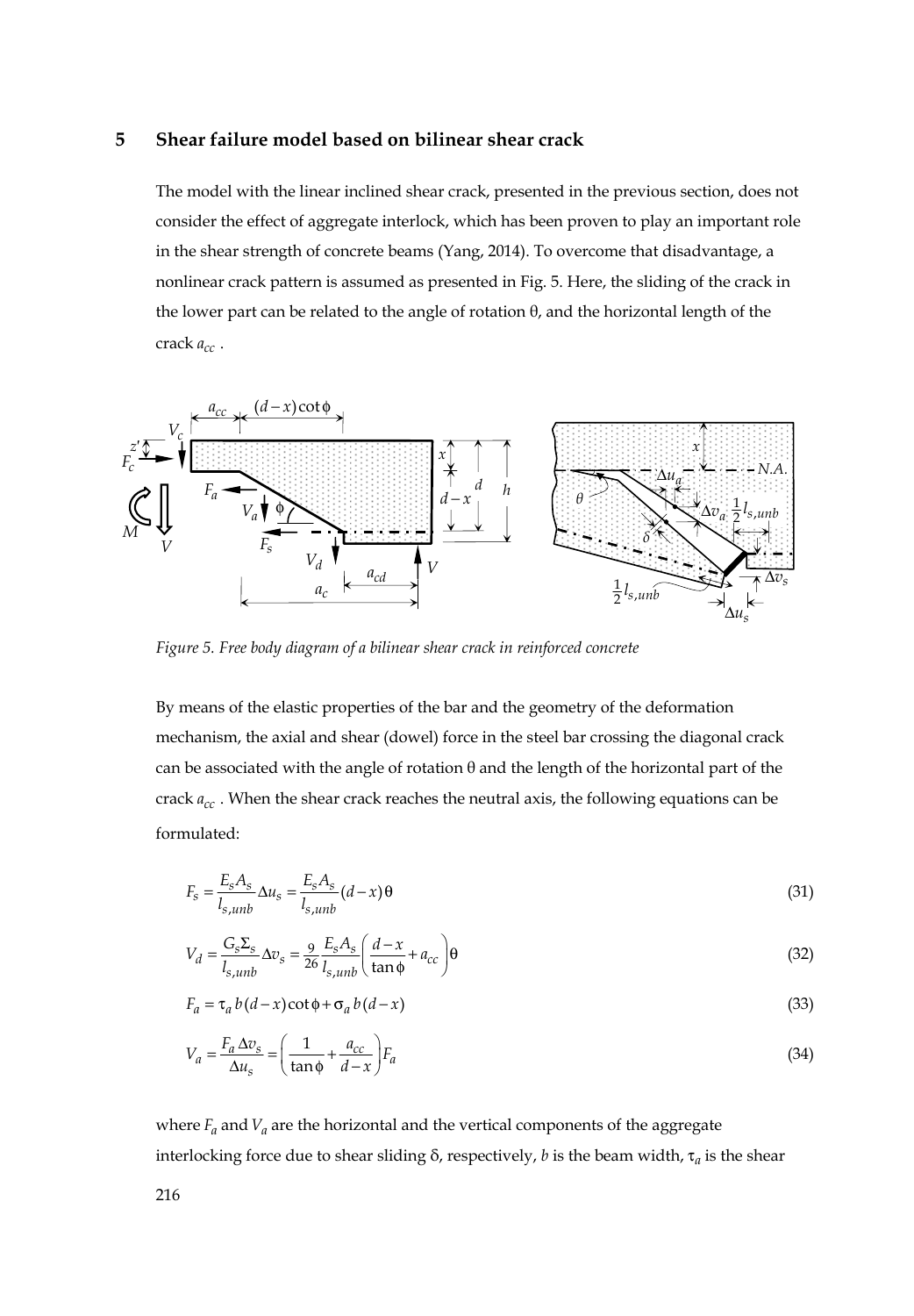#### **5 Shear failure model based on bilinear shear crack**

The model with the linear inclined shear crack, presented in the previous section, does not consider the effect of aggregate interlock, which has been proven to play an important role in the shear strength of concrete beams (Yang, 2014). To overcome that disadvantage, a nonlinear crack pattern is assumed as presented in Fig. 5. Here, the sliding of the crack in the lower part can be related to the angle of rotation  $\theta$ , and the horizontal length of the crack  $a_{cc}$ .



*Figure 5. Free body diagram of a bilinear shear crack in reinforced concrete* 

By means of the elastic properties of the bar and the geometry of the deformation mechanism, the axial and shear (dowel) force in the steel bar crossing the diagonal crack can be associated with the angle of rotation  $\theta$  and the length of the horizontal part of the crack  $a_{cc}$ . When the shear crack reaches the neutral axis, the following equations can be formulated:

$$
F_s = \frac{E_s A_s}{l_{s,umb}} \Delta u_s = \frac{E_s A_s}{l_{s,umb}} (d - x) \Theta
$$
\n(31)

$$
V_d = \frac{G_s \Sigma_s}{l_{s,unb}} \Delta v_s = \frac{9}{26} \frac{E_s A_s}{l_{s,unb}} \left( \frac{d - x}{\tan \phi} + a_{cc} \right) \Theta
$$
\n(32)

$$
F_a = \tau_a b(d - x) \cot \phi + \sigma_a b(d - x)
$$
\n(33)

$$
V_a = \frac{F_a \Delta v_s}{\Delta u_s} = \left(\frac{1}{\tan \phi} + \frac{a_{cc}}{d - x}\right) F_a
$$
\n(34)

where  $F_a$  and  $V_a$  are the horizontal and the vertical components of the aggregate interlocking force due to shear sliding δ, respectively, *b* is the beam width, τ<sub>a</sub> is the shear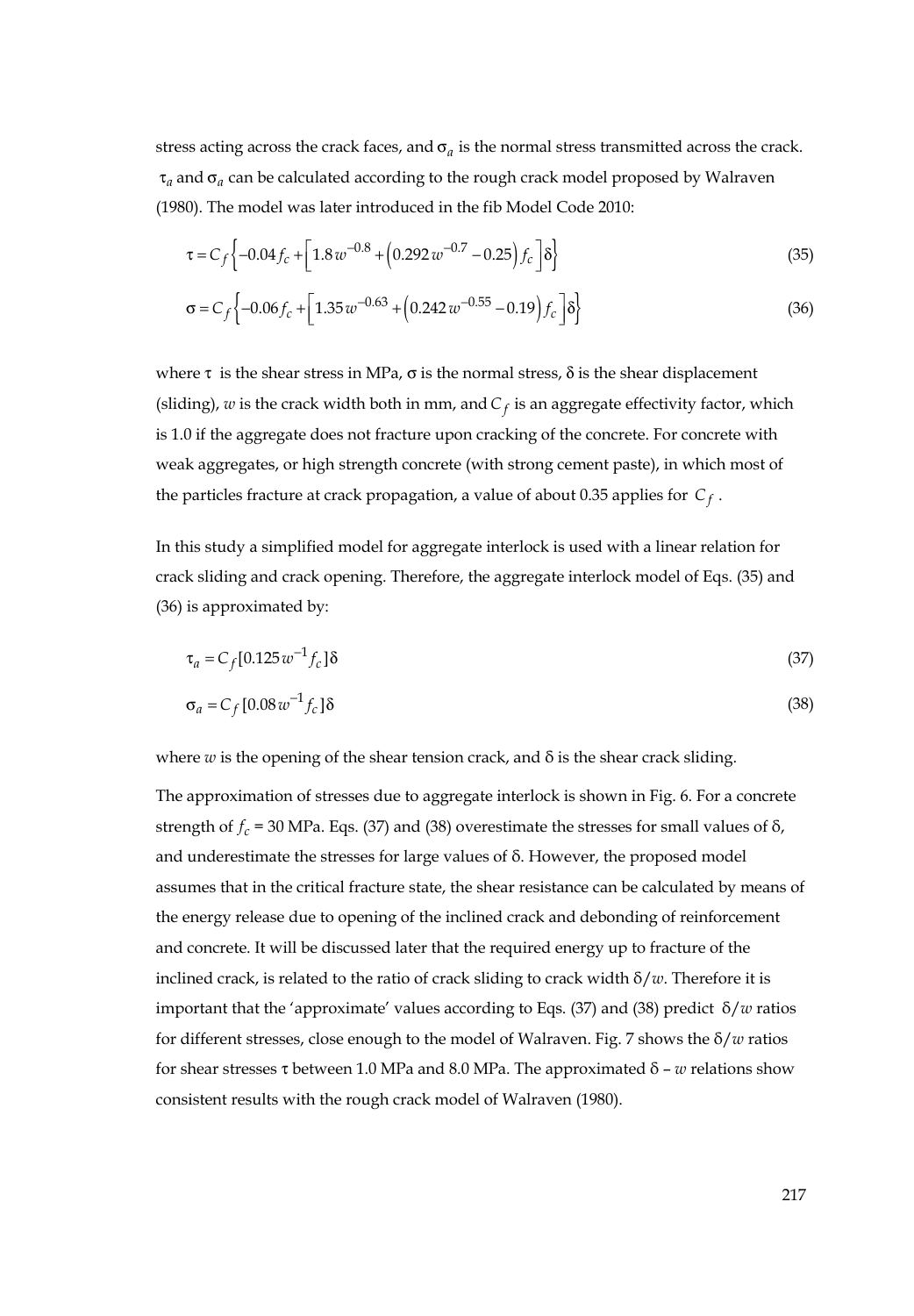stress acting across the crack faces, and  $\sigma_a$  is the normal stress transmitted across the crack.  $\tau_a$  and  $\sigma_a$  can be calculated according to the rough crack model proposed by Walraven (1980). The model was later introduced in the fib Model Code 2010:

$$
\tau = C_f \left\{ -0.04 f_c + \left[ 1.8 \, w^{-0.8} + \left( 0.292 \, w^{-0.7} - 0.25 \right) f_c \right] \delta \right\} \tag{35}
$$

$$
\sigma = C_f \left\{ -0.06 f_c + \left[ 1.35 w^{-0.63} + \left( 0.242 w^{-0.55} - 0.19 \right) f_c \right] \delta \right\}
$$
 (36)

where τ is the shear stress in MPa,  $\sigma$  is the normal stress,  $\delta$  is the shear displacement (sliding),  $w$  is the crack width both in mm, and  $C_f$  is an aggregate effectivity factor, which is 1.0 if the aggregate does not fracture upon cracking of the concrete. For concrete with weak aggregates, or high strength concrete (with strong cement paste), in which most of the particles fracture at crack propagation, a value of about 0.35 applies for *Cf* .

In this study a simplified model for aggregate interlock is used with a linear relation for crack sliding and crack opening. Therefore, the aggregate interlock model of Eqs. (35) and (36) is approximated by:

$$
\tau_a = C_f [0.125 \, w^{-1} f_c] \delta \tag{37}
$$

$$
\sigma_a = C_f \left[ 0.08 \, w^{-1} f_c \right] \delta \tag{38}
$$

where  $w$  is the opening of the shear tension crack, and  $\delta$  is the shear crack sliding.

The approximation of stresses due to aggregate interlock is shown in Fig. 6. For a concrete strength of  $f_c$  = 30 MPa. Eqs. (37) and (38) overestimate the stresses for small values of  $\delta$ , and underestimate the stresses for large values of δ. However, the proposed model assumes that in the critical fracture state, the shear resistance can be calculated by means of the energy release due to opening of the inclined crack and debonding of reinforcement and concrete. It will be discussed later that the required energy up to fracture of the inclined crack, is related to the ratio of crack sliding to crack width δ/*w*. Therefore it is important that the 'approximate' values according to Eqs. (37) and (38) predict δ/*w* ratios for different stresses, close enough to the model of Walraven. Fig. 7 shows the δ/*w* ratios for shear stresses τ between 1.0 MPa and 8.0 MPa. The approximated δ – *w* relations show consistent results with the rough crack model of Walraven (1980).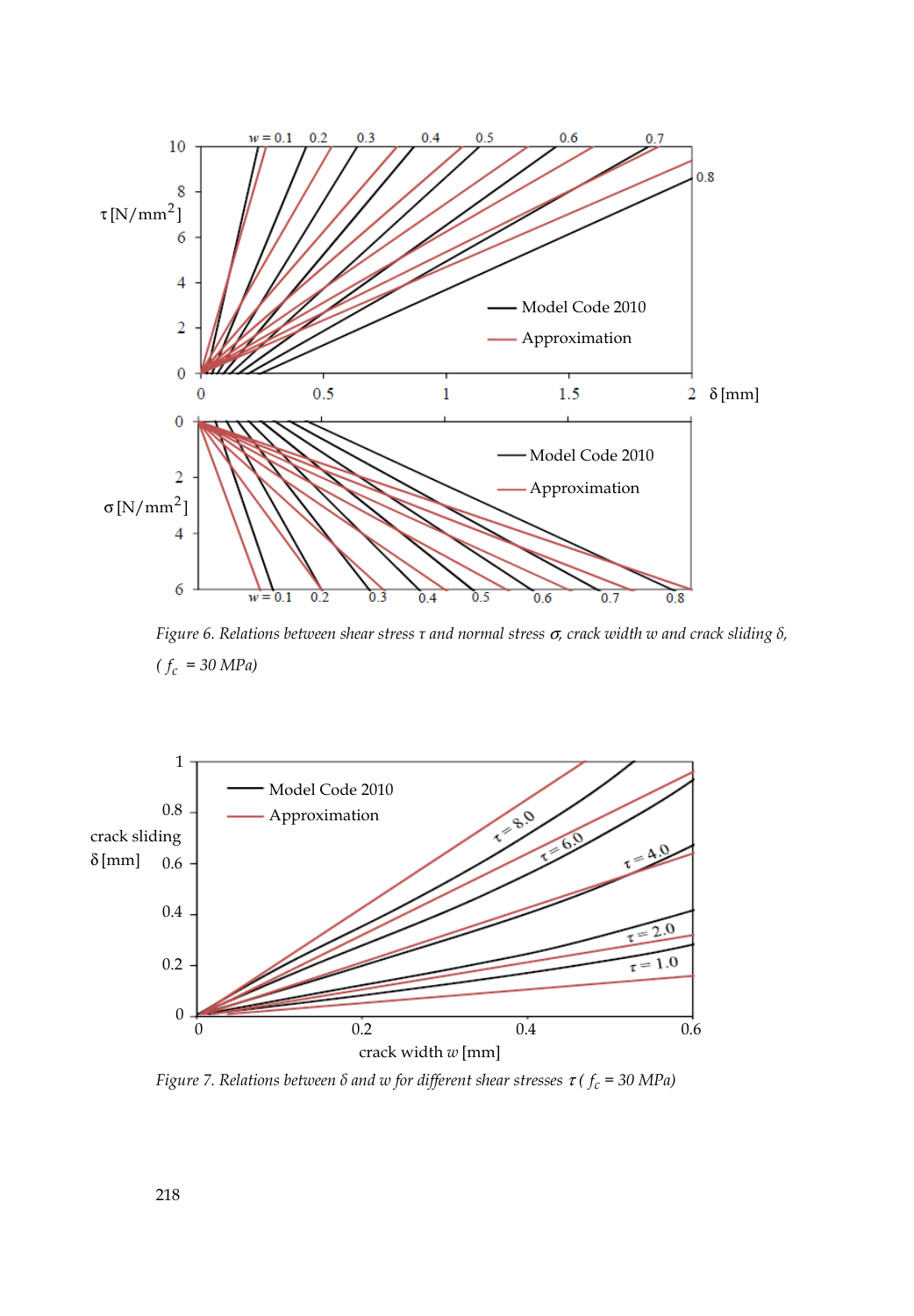

*Figure 6. Relations between shear stress τ and normal stress* σ*, crack width w and crack sliding δ,*   $(f_c = 30 \text{ MPa})$ 



*Figure 7. Relations between*  $\delta$  *and w for different shear stresses*  $\tau$  *(* $f_c$  *= 30 MPa)*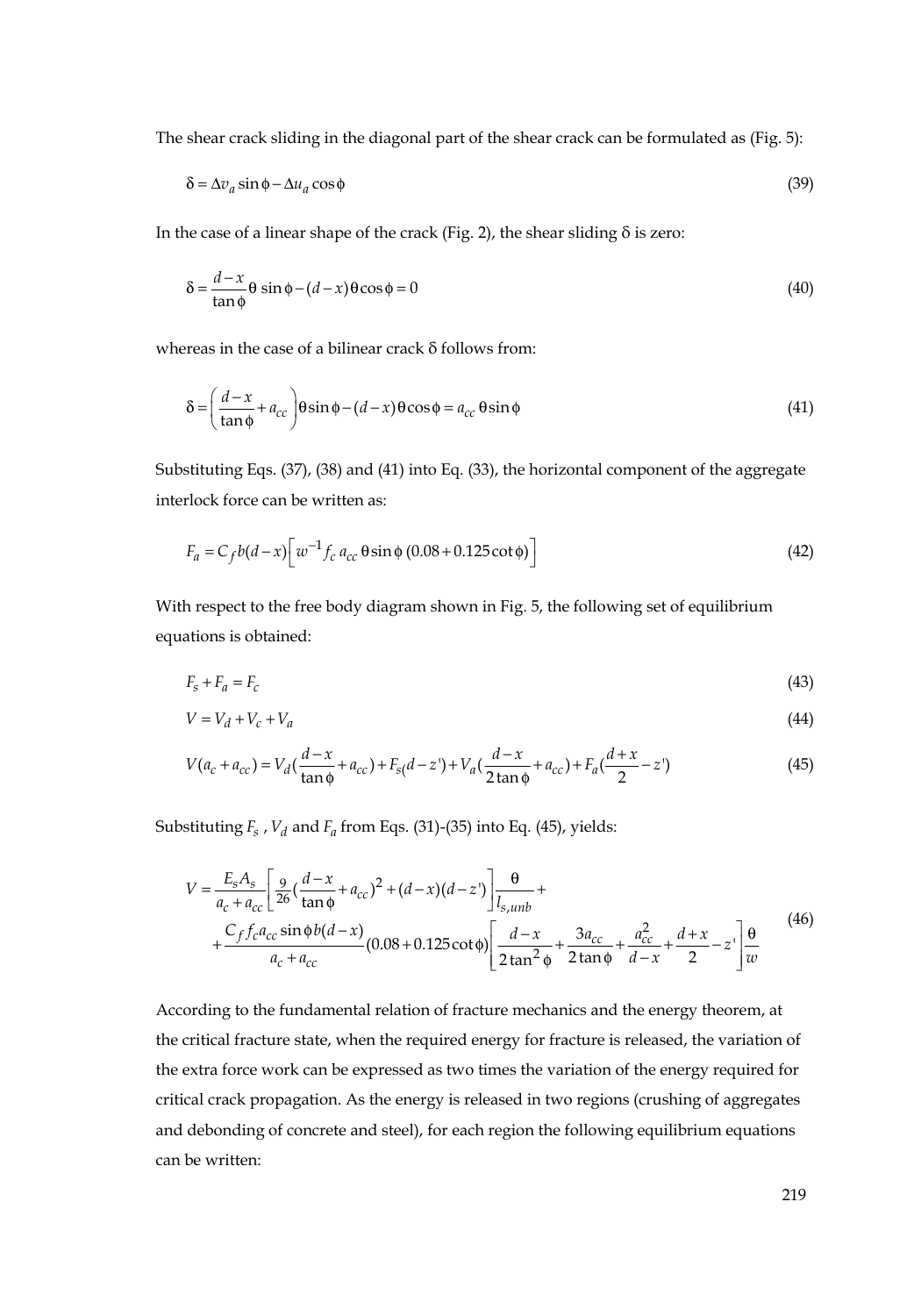The shear crack sliding in the diagonal part of the shear crack can be formulated as (Fig. 5):

$$
\delta = \Delta v_a \sin \phi - \Delta u_a \cos \phi \tag{39}
$$

In the case of a linear shape of the crack (Fig. 2), the shear sliding  $\delta$  is zero:

$$
\delta = \frac{d - x}{\tan \phi} \theta \sin \phi - (d - x) \theta \cos \phi = 0
$$
\n(40)

whereas in the case of a bilinear crack δ follows from:

$$
\delta = \left(\frac{d - x}{\tan \phi} + a_{cc}\right) \theta \sin \phi - (d - x) \theta \cos \phi = a_{cc} \theta \sin \phi \tag{41}
$$

Substituting Eqs. (37), (38) and (41) into Eq. (33), the horizontal component of the aggregate interlock force can be written as:

$$
F_a = C_f b(d - x) \left[ w^{-1} f_c a_{cc} \theta \sin \phi (0.08 + 0.125 \cot \phi) \right]
$$
 (42)

With respect to the free body diagram shown in Fig. 5, the following set of equilibrium equations is obtained:

$$
F_s + F_a = F_c \tag{43}
$$

$$
V = V_d + V_c + V_a \tag{44}
$$

$$
V(a_c + a_{cc}) = V_d(\frac{d-x}{\tan \phi} + a_{cc}) + F_{s}(d-z') + V_a(\frac{d-x}{2\tan \phi} + a_{cc}) + F_a(\frac{d+x}{2} - z')
$$
(45)

Substituting  $F_s$ ,  $V_d$  and  $F_a$  from Eqs. (31)-(35) into Eq. (45), yields:

$$
V = \frac{E_s A_s}{a_c + a_{cc}} \left[ \frac{9}{26} \left( \frac{d - x}{\tan \phi} + a_{cc} \right)^2 + (d - x)(d - z) \right] \frac{\theta}{l_{s,umb}} + \\ + \frac{C_f f_c a_{cc} \sin \phi b (d - x)}{a_c + a_{cc}} (0.08 + 0.125 \cot \phi) \left[ \frac{d - x}{2 \tan^2 \phi} + \frac{3a_{cc}}{2 \tan \phi} + \frac{a_{cc}^2}{d - x} + \frac{d + x}{2} - z \right] \frac{\theta}{w} \tag{46}
$$

According to the fundamental relation of fracture mechanics and the energy theorem, at the critical fracture state, when the required energy for fracture is released, the variation of the extra force work can be expressed as two times the variation of the energy required for critical crack propagation. As the energy is released in two regions (crushing of aggregates and debonding of concrete and steel), for each region the following equilibrium equations can be written: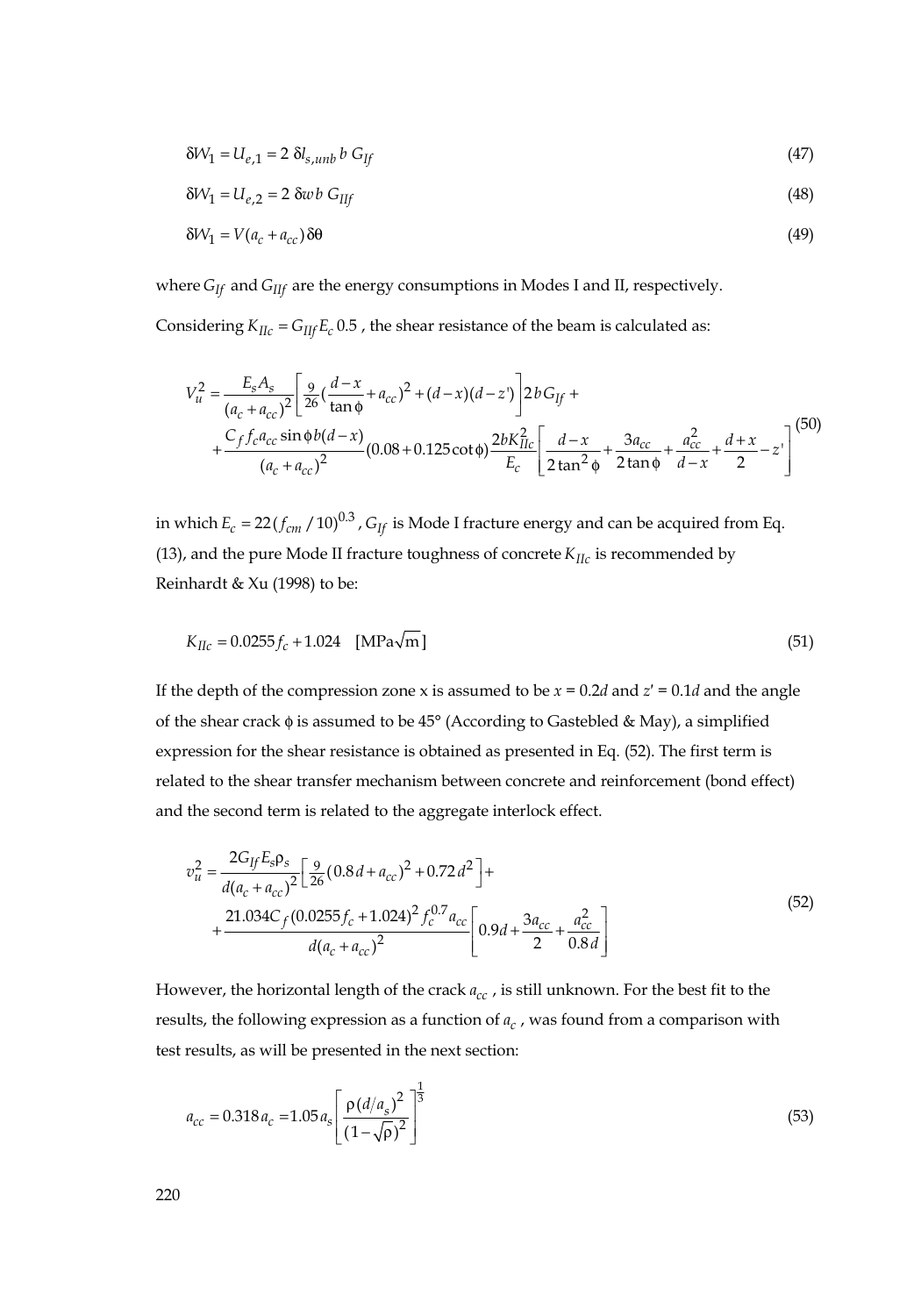$$
\delta W_1 = U_{e,1} = 2 \delta l_{s,umb} b \ G_{lf} \tag{47}
$$

$$
\delta W_1 = U_{e,2} = 2 \delta w b G_{IIf} \tag{48}
$$

$$
\delta V_1 = V(a_c + a_{cc}) \delta \theta \tag{49}
$$

where *G<sub>If</sub>* and *G<sub>IIf</sub>* are the energy consumptions in Modes I and II, respectively.

Considering  $K_{IIC} = G_{IIf} E_c$  0.5 *f* the shear resistance of the beam is calculated as:

$$
V_{u}^{2} = \frac{E_{s}A_{s}}{(a_{c} + a_{cc})^{2}} \left[ \frac{9}{26} (\frac{d-x}{\tan \phi} + a_{cc})^{2} + (d-x)(d-z) \right] 2bG_{If} +
$$
  
+ 
$$
\frac{C_{f}f_{c}a_{cc} \sin \phi b(d-x)}{(a_{c} + a_{cc})^{2}} (0.08 + 0.125 \cot \phi) \frac{2bK_{IIc}^{2}}{E_{c}} \left[ \frac{d-x}{2\tan^{2} \phi} + \frac{3a_{cc}}{2\tan \phi} + \frac{a_{cc}^{2}}{d-x} + \frac{d+x}{2} - z \right]^{(50)}
$$

in which  $E_c = 22(f_{cm} / 10)^{0.3}$ ,  $G_H$  is Mode I fracture energy and can be acquired from Eq. (13), and the pure Mode II fracture toughness of concrete *KIIc* is recommended by Reinhardt & Xu (1998) to be:

$$
K_{IIc} = 0.0255f_c + 1.024 \quad [\text{MPa}\sqrt{\text{m}}] \tag{51}
$$

If the depth of the compression zone x is assumed to be  $x = 0.2d$  and  $z' = 0.1d$  and the angle of the shear crack φ is assumed to be 45° (According to Gastebled & May), a simplified expression for the shear resistance is obtained as presented in Eq. (52). The first term is related to the shear transfer mechanism between concrete and reinforcement (bond effect) and the second term is related to the aggregate interlock effect.

$$
v_u^2 = \frac{2G_{ff}E_s \rho_s}{d(a_c + a_{cc})^2} \left[ \frac{9}{26} (0.8d + a_{cc})^2 + 0.72d^2 \right] +
$$
  
+ 
$$
\frac{21.034C_f (0.0255f_c + 1.024)^2 f_c^{0.7} a_{cc}}{d(a_c + a_{cc})^2} \left[ 0.9d + \frac{3a_{cc}}{2} + \frac{a_{cc}^2}{0.8d} \right]
$$
(52)

However, the horizontal length of the crack  $a_{cc}$ , is still unknown. For the best fit to the results, the following expression as a function of  $a<sub>c</sub>$ , was found from a comparison with test results, as will be presented in the next section:

$$
a_{cc} = 0.318 a_c = 1.05 a_s \left[ \frac{\rho (d/a_s)^2}{(1 - \sqrt{\rho})^2} \right]^{3}
$$
(53)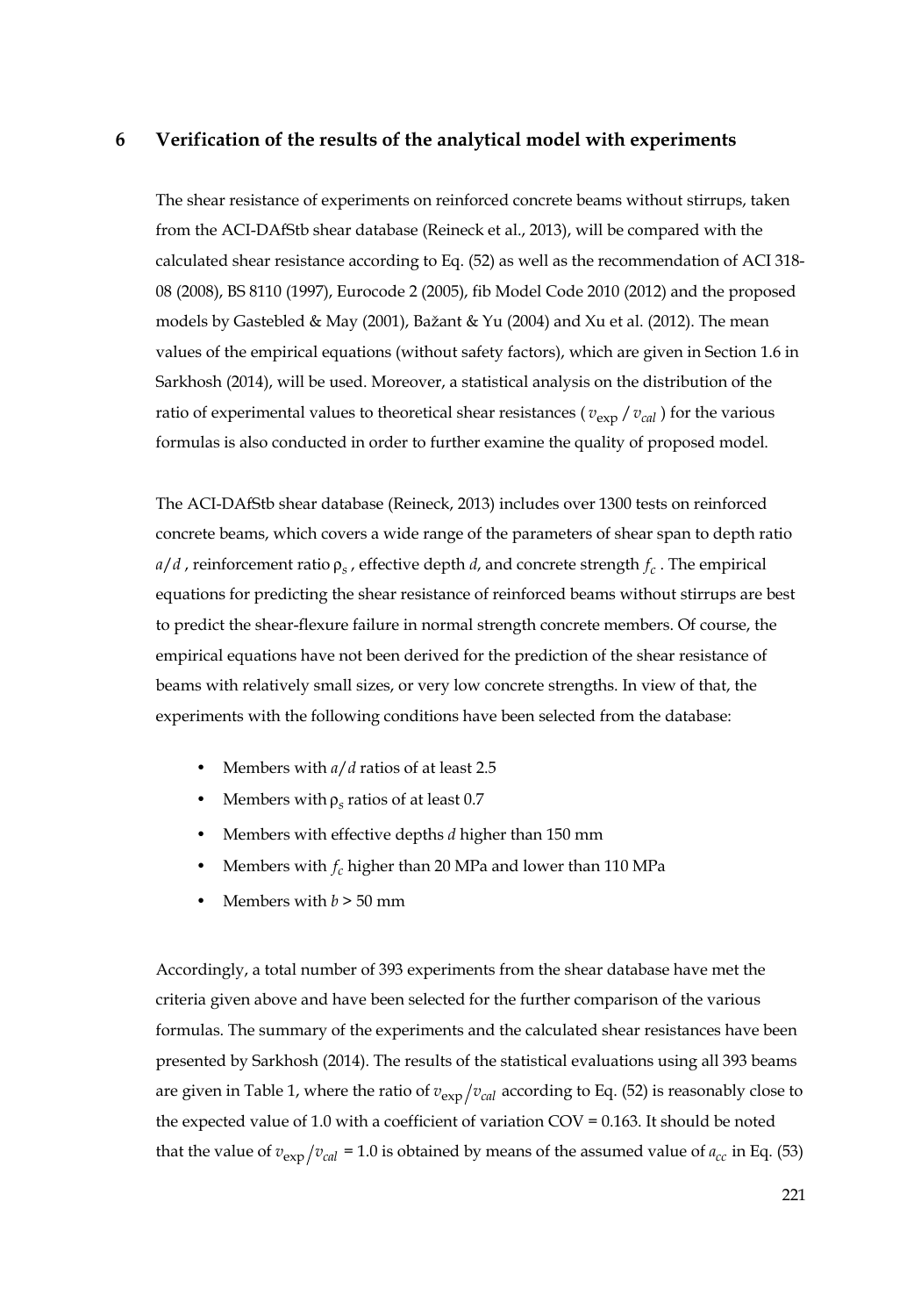## **6 Verification of the results of the analytical model with experiments**

The shear resistance of experiments on reinforced concrete beams without stirrups, taken from the ACI-DAfStb shear database (Reineck et al., 2013), will be compared with the calculated shear resistance according to Eq. (52) as well as the recommendation of ACI 318- 08 (2008), BS 8110 (1997), Eurocode 2 (2005), fib Model Code 2010 (2012) and the proposed models by Gastebled & May (2001), Bažant & Yu (2004) and Xu et al. (2012). The mean values of the empirical equations (without safety factors), which are given in Section 1.6 in Sarkhosh (2014), will be used. Moreover, a statistical analysis on the distribution of the ratio of experimental values to theoretical shear resistances ( $v_{\rm exp}/v_{\rm cal}$ ) for the various formulas is also conducted in order to further examine the quality of proposed model.

The ACI-DAfStb shear database (Reineck, 2013) includes over 1300 tests on reinforced concrete beams, which covers a wide range of the parameters of shear span to depth ratio  $a/d$ , reinforcement ratio  $\rho_s$ , effective depth *d*, and concrete strength  $f_c$ . The empirical equations for predicting the shear resistance of reinforced beams without stirrups are best to predict the shear-flexure failure in normal strength concrete members. Of course, the empirical equations have not been derived for the prediction of the shear resistance of beams with relatively small sizes, or very low concrete strengths. In view of that, the experiments with the following conditions have been selected from the database:

- Members with *a*/*d* ratios of at least 2.5
- Members with ρ*<sup>s</sup>* ratios of at least 0.7
- Members with effective depths *d* higher than 150 mm
- Members with *cf* higher than 20 MPa and lower than 110 MPa
- **Members with**  $b > 50$  **mm**

Accordingly, a total number of 393 experiments from the shear database have met the criteria given above and have been selected for the further comparison of the various formulas. The summary of the experiments and the calculated shear resistances have been presented by Sarkhosh (2014). The results of the statistical evaluations using all 393 beams are given in Table 1, where the ratio of  $v_{\rm exp}/v_{\rm cal}$  according to Eq. (52) is reasonably close to the expected value of 1.0 with a coefficient of variation COV = 0.163. It should be noted that the value of  $v_{\text{exp}}/v_{\text{cal}} = 1.0$  is obtained by means of the assumed value of  $a_{cc}$  in Eq. (53)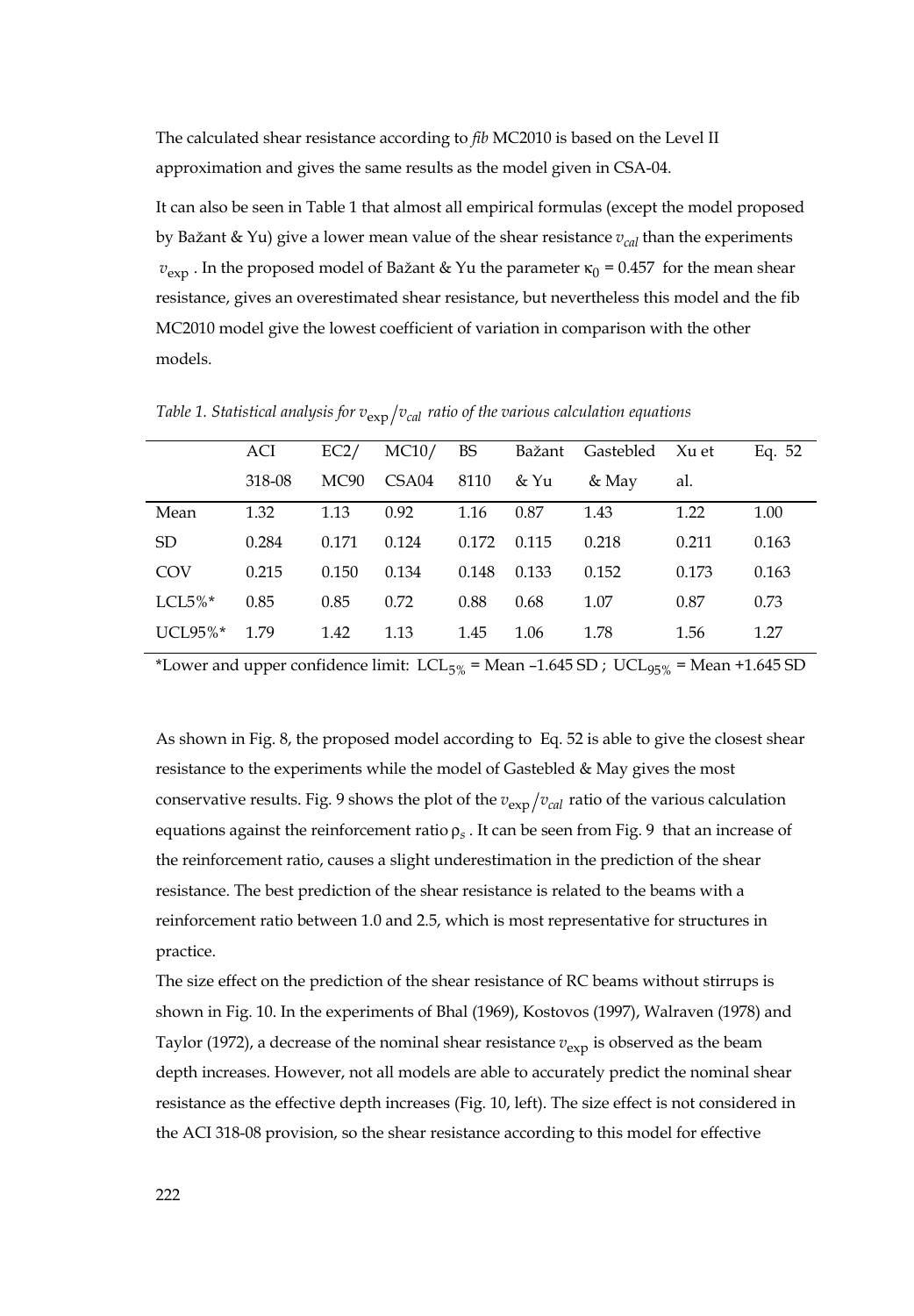The calculated shear resistance according to *fib* MC2010 is based on the Level II approximation and gives the same results as the model given in CSA-04.

It can also be seen in Table 1 that almost all empirical formulas (except the model proposed by Bažant & Yu) give a lower mean value of the shear resistance  $v_{cal}$  than the experiments  $v_{\text{exp}}$ . In the proposed model of Bažant & Yu the parameter  $\kappa_0$  = 0.457 for the mean shear resistance, gives an overestimated shear resistance, but nevertheless this model and the fib MC2010 model give the lowest coefficient of variation in comparison with the other models.

|             | ACI    | EC2/  | MC10/ | BS    | Bažant | Gastebled Xu et |       | Eq. 52 |
|-------------|--------|-------|-------|-------|--------|-----------------|-------|--------|
|             | 318-08 | MC90  | CSA04 | 8110  | & Yu   | & May           | al.   |        |
| Mean        | 1.32   | 1.13  | 0.92  | 1.16  | 0.87   | 1.43            | 1.22  | 1.00   |
| SD.         | 0.284  | 0.171 | 0.124 | 0.172 | 0.115  | 0.218           | 0.211 | 0.163  |
| COV         | 0.215  | 0.150 | 0.134 | 0.148 | 0.133  | 0.152           | 0.173 | 0.163  |
| LCL5% $*$   | 0.85   | 0.85  | 0.72  | 0.88  | 0.68   | 1.07            | 0.87  | 0.73   |
| $UCI.95\%*$ | 1.79   | 1.42  | 1.13  | 1.45  | 1.06   | 1.78            | 1.56  | 1.27   |

*Table 1. Statistical analysis for*  $v_{\text{exp}}/v_{\text{cal}}$  *ratio of the various calculation equations* 

\*Lower and upper confidence limit:  $LCL_{5\%}$  = Mean -1.645 SD ; UCL<sub>95%</sub> = Mean +1.645 SD

As shown in Fig. 8, the proposed model according to Eq. 52 is able to give the closest shear resistance to the experiments while the model of Gastebled & May gives the most conservative results. Fig. 9 shows the plot of the  $v_{\text{exp}}/v_{\text{cal}}$  ratio of the various calculation equations against the reinforcement ratio  $\rho_s$ . It can be seen from Fig. 9 that an increase of the reinforcement ratio, causes a slight underestimation in the prediction of the shear resistance. The best prediction of the shear resistance is related to the beams with a reinforcement ratio between 1.0 and 2.5, which is most representative for structures in practice.

The size effect on the prediction of the shear resistance of RC beams without stirrups is shown in Fig. 10. In the experiments of Bhal (1969), Kostovos (1997), Walraven (1978) and Taylor (1972), a decrease of the nominal shear resistance  $v_{\rm exp}$  is observed as the beam depth increases. However, not all models are able to accurately predict the nominal shear resistance as the effective depth increases (Fig. 10, left). The size effect is not considered in the ACI 318-08 provision, so the shear resistance according to this model for effective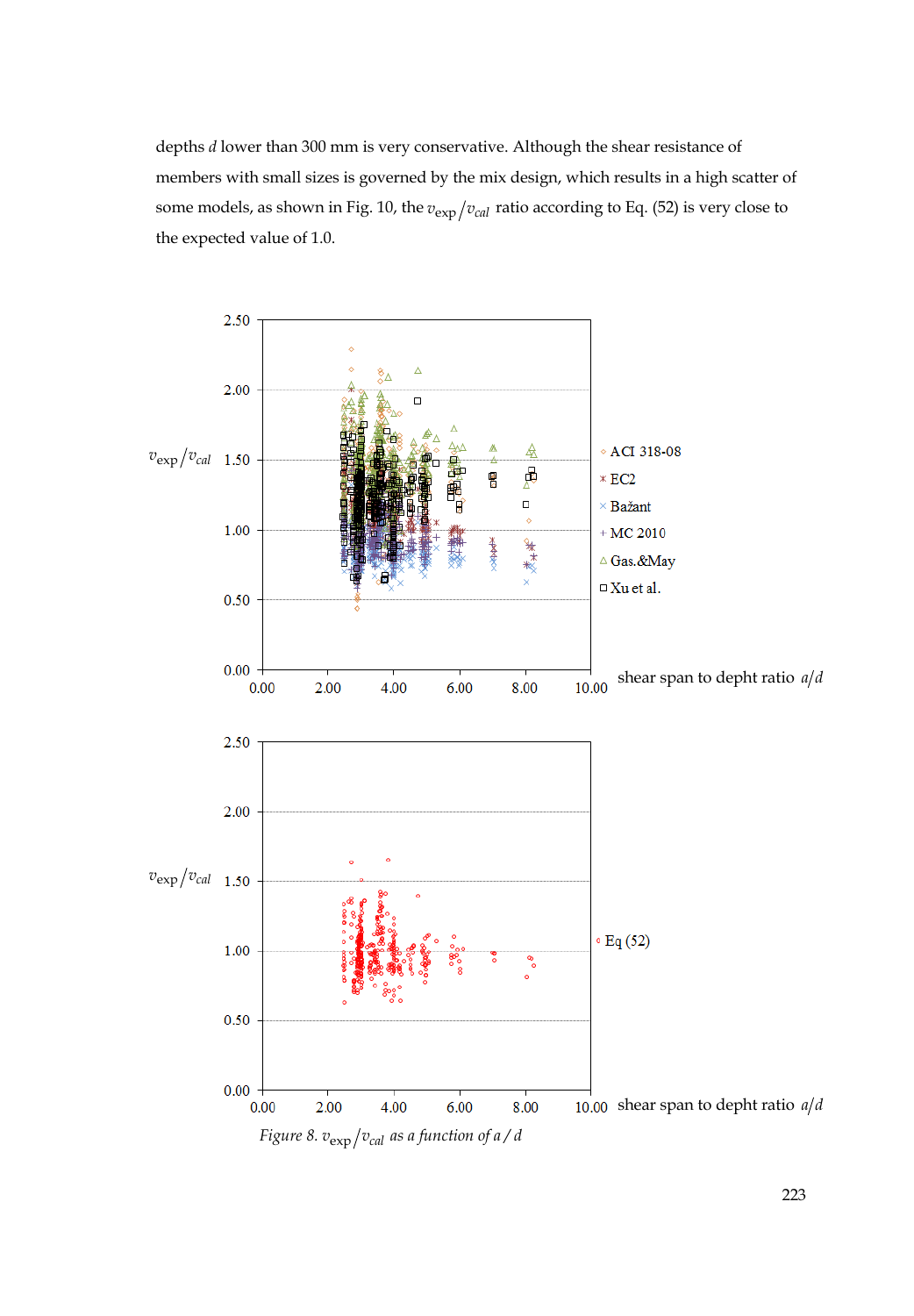depths *d* lower than 300 mm is very conservative. Although the shear resistance of members with small sizes is governed by the mix design, which results in a high scatter of some models, as shown in Fig. 10, the  $v_{exp}/v_{cal}$  ratio according to Eq. (52) is very close to the expected value of 1.0.

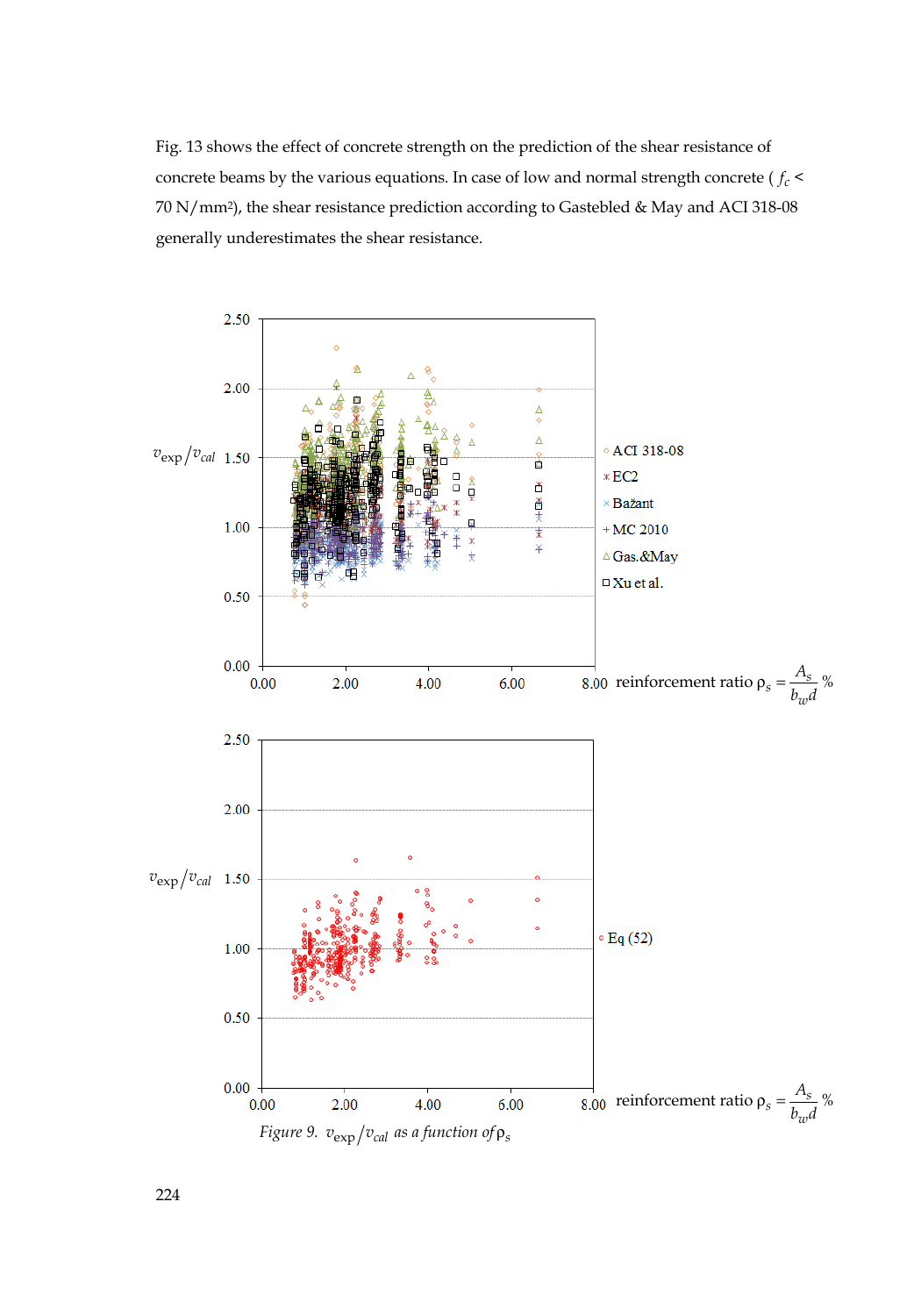Fig. 13 shows the effect of concrete strength on the prediction of the shear resistance of concrete beams by the various equations. In case of low and normal strength concrete ( $f_c$  < 70 N/mm2), the shear resistance prediction according to Gastebled & May and ACI 318-08 generally underestimates the shear resistance.

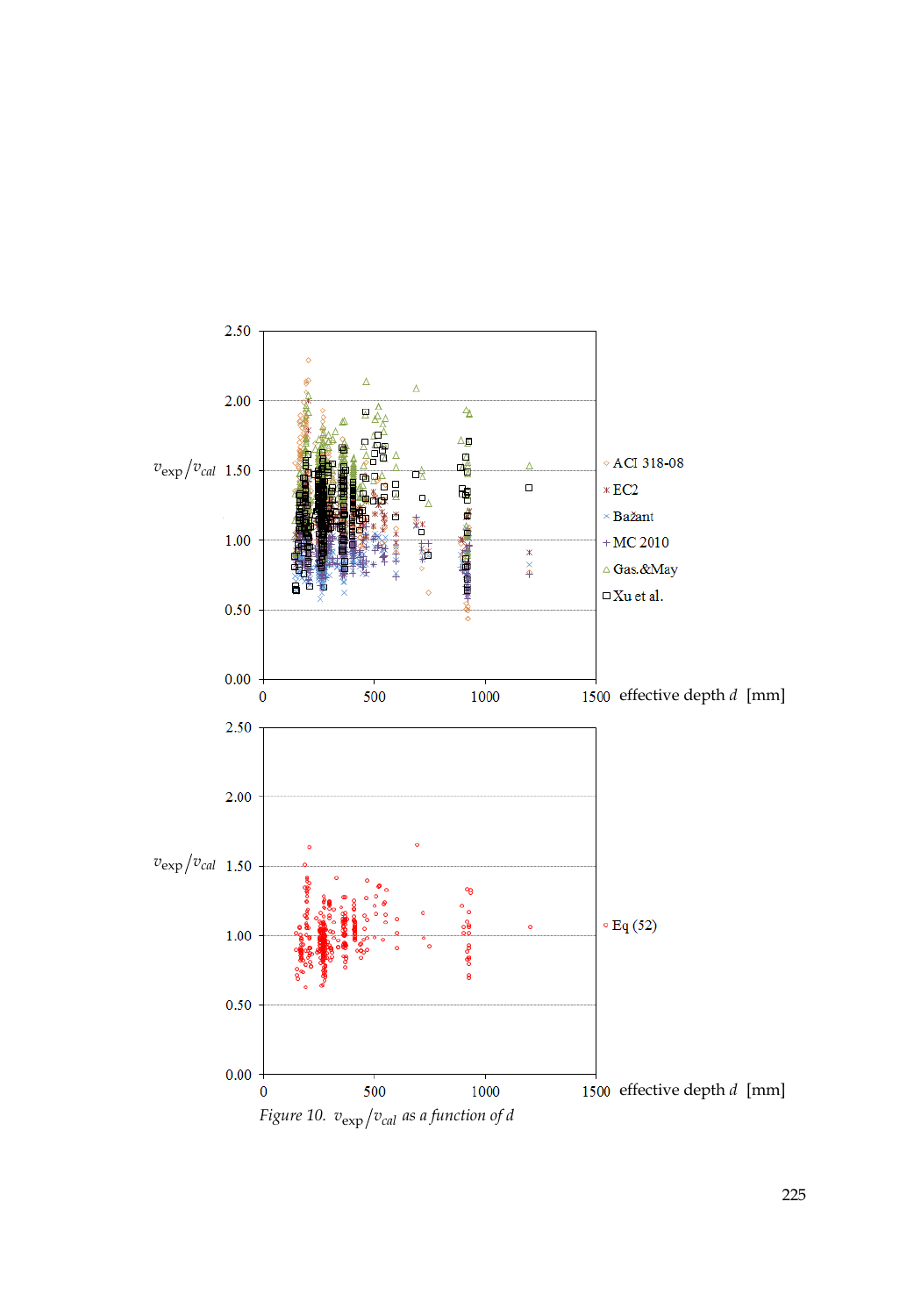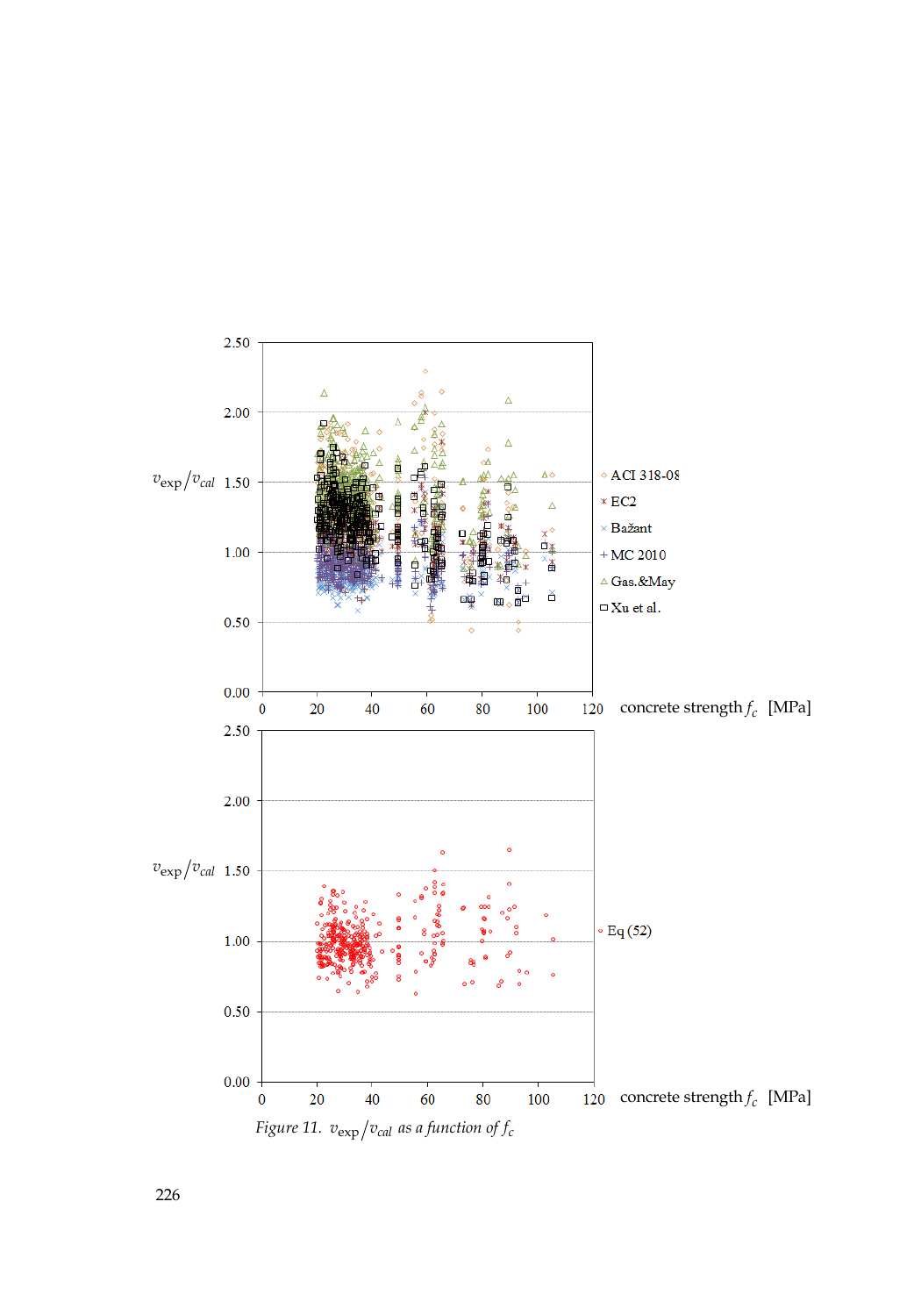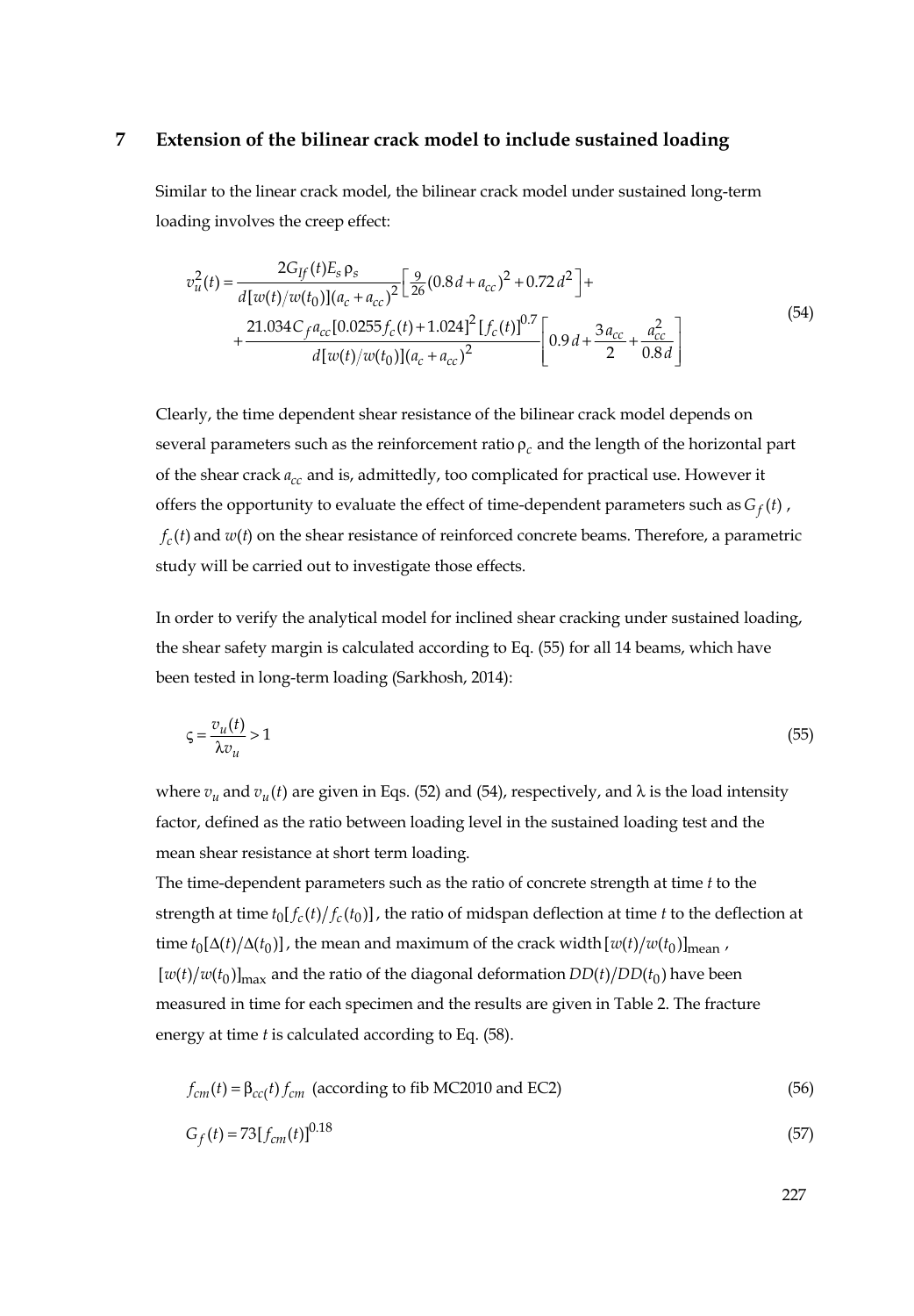#### **7 Extension of the bilinear crack model to include sustained loading**

Similar to the linear crack model, the bilinear crack model under sustained long-term loading involves the creep effect:

$$
v_u^2(t) = \frac{2G_{ff}(t)E_s \rho_s}{d[w(t)/w(t_0)](a_c + a_{cc})^2} \left[ \frac{9}{26} (0.8d + a_{cc})^2 + 0.72d^2 \right] +
$$
  
+ 
$$
\frac{21.034C_f a_{cc} [0.0255f_c(t) + 1.024]^2 [f_c(t)]^{0.7}}{d[w(t)/w(t_0)](a_c + a_{cc})^2} \left[ 0.9d + \frac{3a_{cc}}{2} + \frac{a_{cc}^2}{0.8d} \right]
$$
(54)

Clearly, the time dependent shear resistance of the bilinear crack model depends on several parameters such as the reinforcement ratio ρ*<sup>c</sup>* and the length of the horizontal part of the shear crack  $a_{cc}$  and is, admittedly, too complicated for practical use. However it offers the opportunity to evaluate the effect of time-dependent parameters such as  $G_f(t)$ ,  $f_c(t)$  and  $w(t)$  on the shear resistance of reinforced concrete beams. Therefore, a parametric study will be carried out to investigate those effects.

In order to verify the analytical model for inclined shear cracking under sustained loading, the shear safety margin is calculated according to Eq. (55) for all 14 beams, which have been tested in long-term loading (Sarkhosh, 2014):

$$
\zeta = \frac{v_u(t)}{\lambda v_u} > 1\tag{55}
$$

where  $v_u$  and  $v_u(t)$  are given in Eqs. (52) and (54), respectively, and  $\lambda$  is the load intensity factor, defined as the ratio between loading level in the sustained loading test and the mean shear resistance at short term loading.

The time-dependent parameters such as the ratio of concrete strength at time *t* to the strength at time  $t_0[f_c(t)/f_c(t_0)]$ , the ratio of midspan deflection at time *t* to the deflection at time  $t_0 [\Delta(t) / \Delta(t_0)]$ , the mean and maximum of the crack width  $[w(t) / w(t_0)]_{\text{mean}}$ ,  $[w(t)/w(t_0)]_{\text{max}}$  and the ratio of the diagonal deformation  $DD(t)/DD(t_0)$  have been measured in time for each specimen and the results are given in Table 2. The fracture energy at time *t* is calculated according to Eq. (58).

$$
f_{cm}(t) = \beta_{cc}(t) f_{cm}
$$
 (according to fib MC2010 and EC2) (56)

$$
G_f(t) = 73[f_{cm}(t)]^{0.18}
$$
\n(57)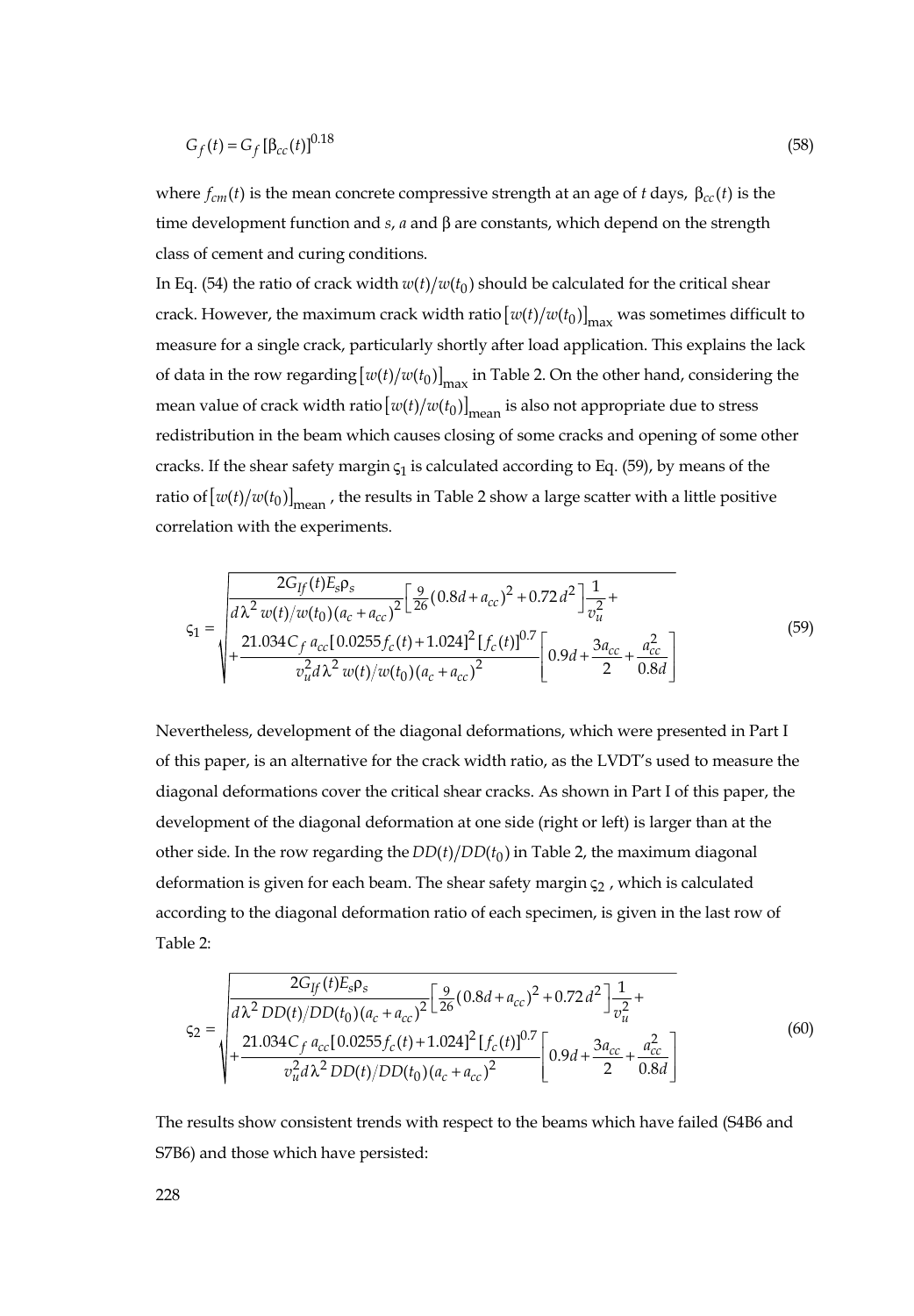$$
G_f(t) = G_f [\beta_{cc}(t)]^{0.18}
$$
 (58)

where  $f_{cm}(t)$  is the mean concrete compressive strength at an age of *t* days,  $\beta_{cc}(t)$  is the time development function and *s*, *a* and β are constants, which depend on the strength class of cement and curing conditions.

In Eq. (54) the ratio of crack width  $w(t)/w(t_0)$  should be calculated for the critical shear crack. However, the maximum crack width ratio  $[w(t)/w(t_0)]_{max}$  was sometimes difficult to measure for a single crack, particularly shortly after load application. This explains the lack of data in the row regarding  $[w(t)/w(t_0)]_{max}$  in Table 2. On the other hand, considering the mean value of crack width ratio  $[w(t)/w(t_0)]_{\text{mean}}$  is also not appropriate due to stress redistribution in the beam which causes closing of some cracks and opening of some other cracks. If the shear safety margin  $\varsigma_1$  is calculated according to Eq. (59), by means of the ratio of  $[w(t)/w(t_0)]_{\text{mean}}$ , the results in Table 2 show a large scatter with a little positive correlation with the experiments.

$$
\varsigma_{1} = \sqrt{\frac{2G_{ff}(t)E_{s}\rho_{s}}{d\lambda^{2}w(t)/w(t_{0})(a_{c} + a_{cc})^{2}} \left[\frac{9}{26}(0.8d + a_{cc})^{2} + 0.72d^{2}\right] \frac{1}{v_{u}^{2}} + \frac{21.034C_{f}a_{cc}[0.0255f_{c}(t) + 1.024]^{2}[f_{c}(t)]^{0.7}}{v_{u}^{2}d\lambda^{2}w(t)/w(t_{0})(a_{c} + a_{cc})^{2}} \left[0.9d + \frac{3a_{cc}}{2} + \frac{a_{cc}^{2}}{0.8d}\right]}\n\tag{59}
$$

Nevertheless, development of the diagonal deformations, which were presented in Part I of this paper, is an alternative for the crack width ratio, as the LVDT's used to measure the diagonal deformations cover the critical shear cracks. As shown in Part I of this paper, the development of the diagonal deformation at one side (right or left) is larger than at the other side. In the row regarding the  $DD(t)/DD(t_0)$  in Table 2, the maximum diagonal deformation is given for each beam. The shear safety margin  $\varsigma_2$ , which is calculated according to the diagonal deformation ratio of each specimen, is given in the last row of Table 2:

$$
\varsigma_{2} = \sqrt{\frac{2G_{ff}(t)E_{s}\rho_{s}}{a\lambda^{2}DD(t)/DD(t_{0})(a_{c} + a_{cc})^{2}} \left[\frac{9}{26}(0.8d + a_{cc})^{2} + 0.72d^{2}\right] \frac{1}{v_{u}^{2}} + \frac{21.034C_{f}a_{cc}[0.0255f_{c}(t) + 1.024]^{2}[f_{c}(t)]^{0.7}}{v_{u}^{2}d\lambda^{2}DD(t)/DD(t_{0})(a_{c} + a_{cc})^{2}} \left[0.9d + \frac{3a_{cc}}{2} + \frac{a_{cc}^{2}}{0.8d}\right] \tag{60}
$$

The results show consistent trends with respect to the beams which have failed (S4B6 and S7B6) and those which have persisted: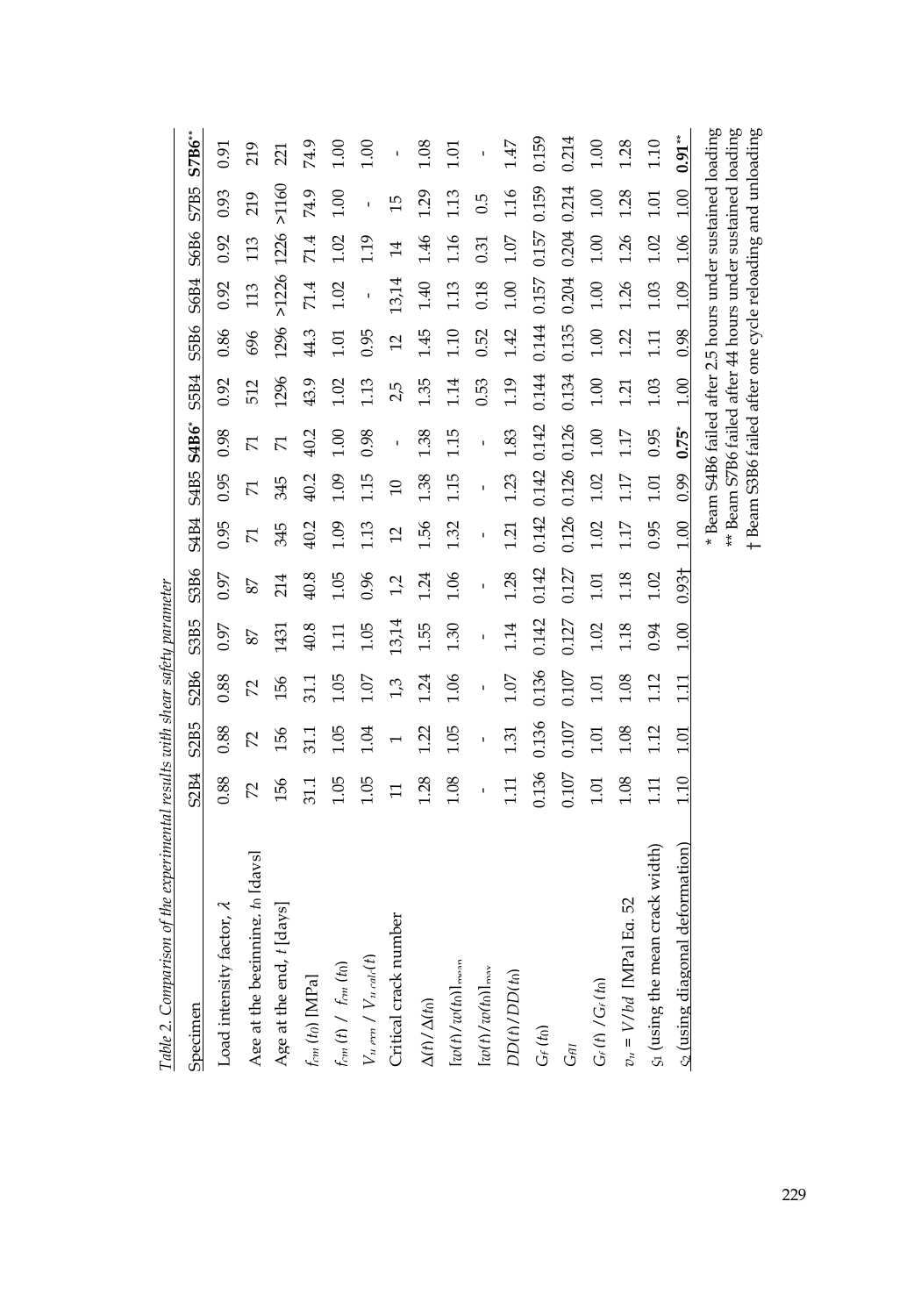| Specimen                         | S2B4             | S <sub>2</sub> B <sub>5</sub> | S2B6  | S3B5  | S3B6              | <b>S4B4</b>         | S4B5 S4B6*     |                | S5B4  | S5B6           | S6B4                                                                                                                     | S6B6           | S7B5           | $STB6**$                                                   |
|----------------------------------|------------------|-------------------------------|-------|-------|-------------------|---------------------|----------------|----------------|-------|----------------|--------------------------------------------------------------------------------------------------------------------------|----------------|----------------|------------------------------------------------------------|
| Load intensity factor, $\lambda$ | 0.88             | 0.88                          | 0.88  | 0.97  | 0.97              | 0.95                | 0.95           | 0.98           | 0.92  | 0.86           | 0.92                                                                                                                     | 0.92           | 0.93           | 0.91                                                       |
| Age at the beginning, to Idaysl  | 2                | 22                            | 2     | 87    | 78                | $\overline{\Sigma}$ | 71             | 77             | 512   | 696            | 113                                                                                                                      | 113            | 219            | 219                                                        |
| Age at the end, t [days]         | 156              | 156                           | 156   | 1431  | 214               | 345                 | 345            | 71             | 1296  | 1296           | >1226                                                                                                                    | 1226           | $>1160$        | 221                                                        |
| $f_{cm}$ (to) [MPa]              | 31.1             | 51.1                          | 51.1  | 40.8  | 40.8              | 40.2                | 40.2           | 40.2           | 43.9  | 44.3           | 71.4                                                                                                                     | 71.4           | 74.9           | 74.9                                                       |
| $f_{rm}(t)$ / $f_{rm}(t_0)$      | 1.05             | 1.05                          | 1.05  | 111   | 1.05              | 1.09                | 1.09           | $\frac{6}{10}$ | 1.02  | 1.01           | 1.02                                                                                                                     | 1.02           | 00.1           | 1.00                                                       |
| $V_{u,exp} / V_{u,calc}(t)$      | 1.05             | 1.04                          | 1.07  | 1.05  | 0.96              | 1.13                | 115            | 0.98           | 1.13  | 0.95           |                                                                                                                          | 1.19           | ı              | 1.00                                                       |
| Critical crack number            | Ξ                |                               | 1,3   | 13,14 | 1,2               | $\overline{c}$      | $\overline{a}$ | $\mathbf{I}$   | 2,5   | $\overline{5}$ | 13,14                                                                                                                    | $\overline{4}$ | $\frac{15}{1}$ | ı                                                          |
| $\Delta(t)/\Delta(t_0)$          | 1.28             | 1.22                          | 1.24  | 1.55  | 1.24              | 1.56                | 1.38           | 1.38           | 1.35  | 1.45           | 1.40                                                                                                                     | 1.46           | 1.29           | 1.08                                                       |
| $[wtt]/wt$ (h) $]_{\text{mean}}$ | 1.08             | 1.05                          | 1.06  | 1.30  | 1.06              | 1.32                | 1.15           | 1.15           | 1.14  | 1.10           | 1.13                                                                                                                     | 1.16           | 1.13           | 1.01                                                       |
| $[w(t)/w(t_0)]_{\text{max}}$     |                  | ï                             | ï     | ï     | ï                 | $\mathbf{I}$        |                | ï              | 0.53  | 0.52           | 0.18                                                                                                                     | 0.31           | 0.5            | ï                                                          |
| $DD(t)/DD(t_0)$                  | 111              | 1.31                          | 1.07  | 1.14  | 1.28              | 1.21                | 1.23           | 1.83           | 1.19  | 1.42           | 1.00                                                                                                                     | 1.07           | 1.16           | 1.47                                                       |
| $G_f$ (to)                       | 0.136            | 0.136                         | 0.136 | 0.142 | 0.142             | 0.142               | 0.142 0.142    |                | 0.144 | 0.144          | 0.157                                                                                                                    | 0.157          | 0.159          | 0.159                                                      |
| $G_{\ell\Pi}$                    | 0.107            | 0.107                         | 0.107 | 0.127 | 0.127             | 0.126               | 0.126          | 0.126          | 0.134 | 0.135          | 0.204                                                                                                                    | 0.204          | 0.214          | 0.214                                                      |
| $G_f(f) / G_f(f_0)$              | 1.01             | 1.01                          | 1.01  | 1.02  | 1.01              | 1.02                | 1.02           | 1.00           | 1.00  | 1.00           | 1.00                                                                                                                     | 1.00           | 1.00           | 00.1                                                       |
| $v_{\rm u} = V/bd$ [MPa] Eq. 52  | 1.08             | 1.08                          | 1.08  | 1.18  | 1.18              | 117                 | 1.17           | 117            | 121   | 1.22           | 1.26                                                                                                                     | 1.26           | 1.28           | 1.28                                                       |
| S1 (using the mean crack width)  | $\overline{111}$ | 1.12                          | 1.12  | 0.94  | 1.02              | 0.95                | 1.01           | 0.95           | 1.03  | 1.11           | 1.03                                                                                                                     | 1.02           | 1.01           | 1.10                                                       |
| c (using diagonal deformation)   | 1.10             | 1.01                          | 1.11  | 1.00  | 0.93 <sup>†</sup> | 1.00                | 0.99 0.75*     |                | 1.00  | 0.98           | 1.09                                                                                                                     | 1.06 1.00      |                | $0.91**$                                                   |
|                                  |                  |                               |       |       |                   |                     |                |                |       |                | * Beam S4B6 failed after 2.5 hours under sustained loading<br>t Beam S3B6 failed after one cycle reloading and unloading |                |                | ** Beam S7B6 failed after 44 hours under sustained loading |

Table 2. Comparison of the experimental results with shear safety parameter *Table 2. Comparison of the experimental results with shear safety parameter*

229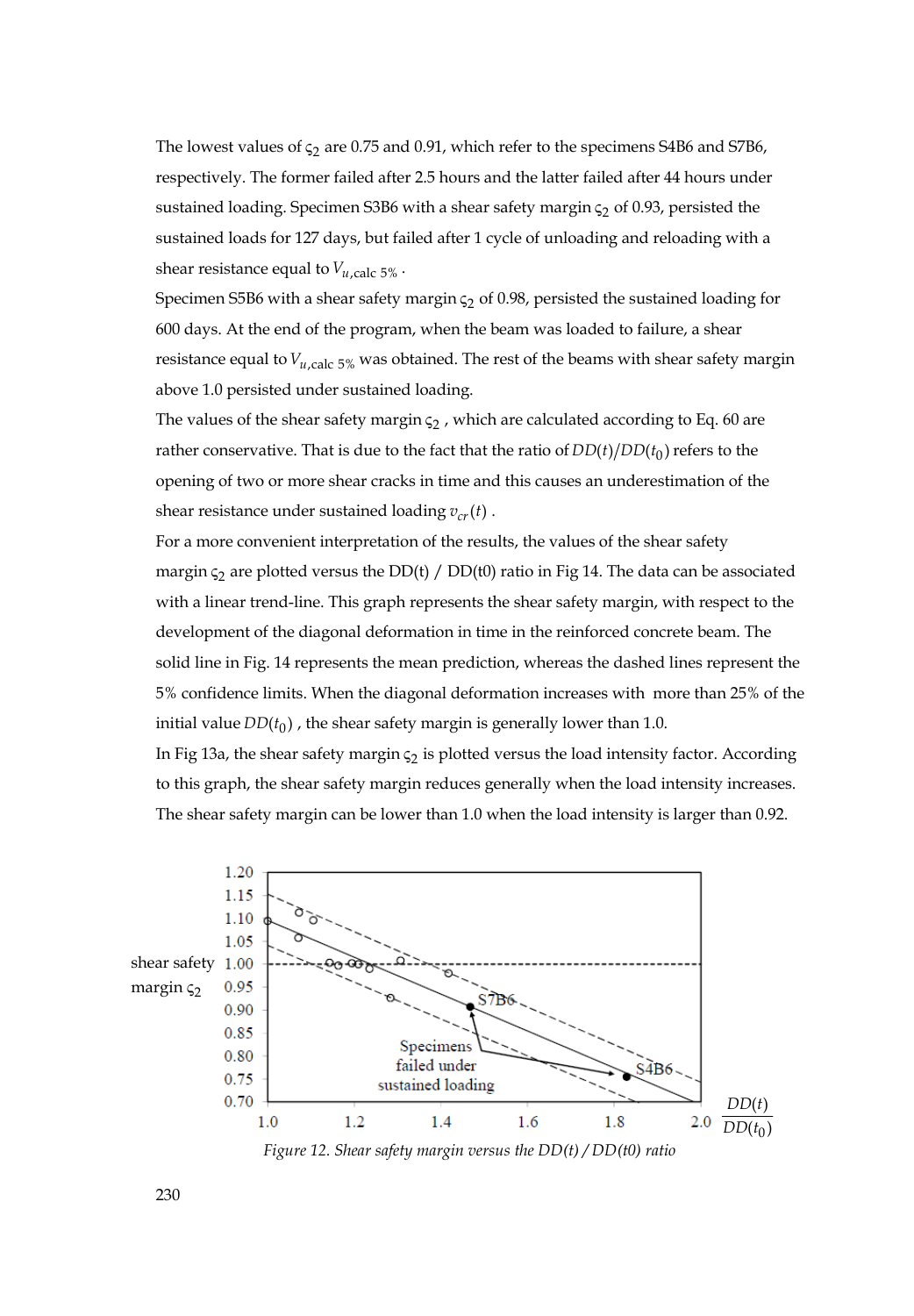The lowest values of  $\varsigma_2$  are 0.75 and 0.91, which refer to the specimens S4B6 and S7B6, respectively. The former failed after 2.5 hours and the latter failed after 44 hours under sustained loading. Specimen S3B6 with a shear safety margin  $\varsigma_2$  of 0.93, persisted the sustained loads for 127 days, but failed after 1 cycle of unloading and reloading with a shear resistance equal to  $V_{u,\text{calc}}$  5%.

Specimen S5B6 with a shear safety margin  $\varsigma_2$  of 0.98, persisted the sustained loading for 600 days. At the end of the program, when the beam was loaded to failure, a shear resistance equal to  $V_{u,\text{calc}}$  5% was obtained. The rest of the beams with shear safety margin above 1.0 persisted under sustained loading.

The values of the shear safety margin  $\varsigma$ , which are calculated according to Eq. 60 are rather conservative. That is due to the fact that the ratio of  $DD(t)/DD(t_0)$  refers to the opening of two or more shear cracks in time and this causes an underestimation of the shear resistance under sustained loading  $v_{cr}(t)$ .

For a more convenient interpretation of the results, the values of the shear safety margin  $\varsigma$ <sub>2</sub> are plotted versus the DD(t) / DD(t0) ratio in Fig 14. The data can be associated with a linear trend-line. This graph represents the shear safety margin, with respect to the development of the diagonal deformation in time in the reinforced concrete beam. The solid line in Fig. 14 represents the mean prediction, whereas the dashed lines represent the 5% confidence limits. When the diagonal deformation increases with more than 25% of the initial value  $DD(t_0)$ , the shear safety margin is generally lower than 1.0.

In Fig 13a, the shear safety margin  $\varsigma_2$  is plotted versus the load intensity factor. According to this graph, the shear safety margin reduces generally when the load intensity increases. The shear safety margin can be lower than 1.0 when the load intensity is larger than 0.92.



 *Figure 12. Shear safety margin versus the DD(t) / DD(t0) ratio*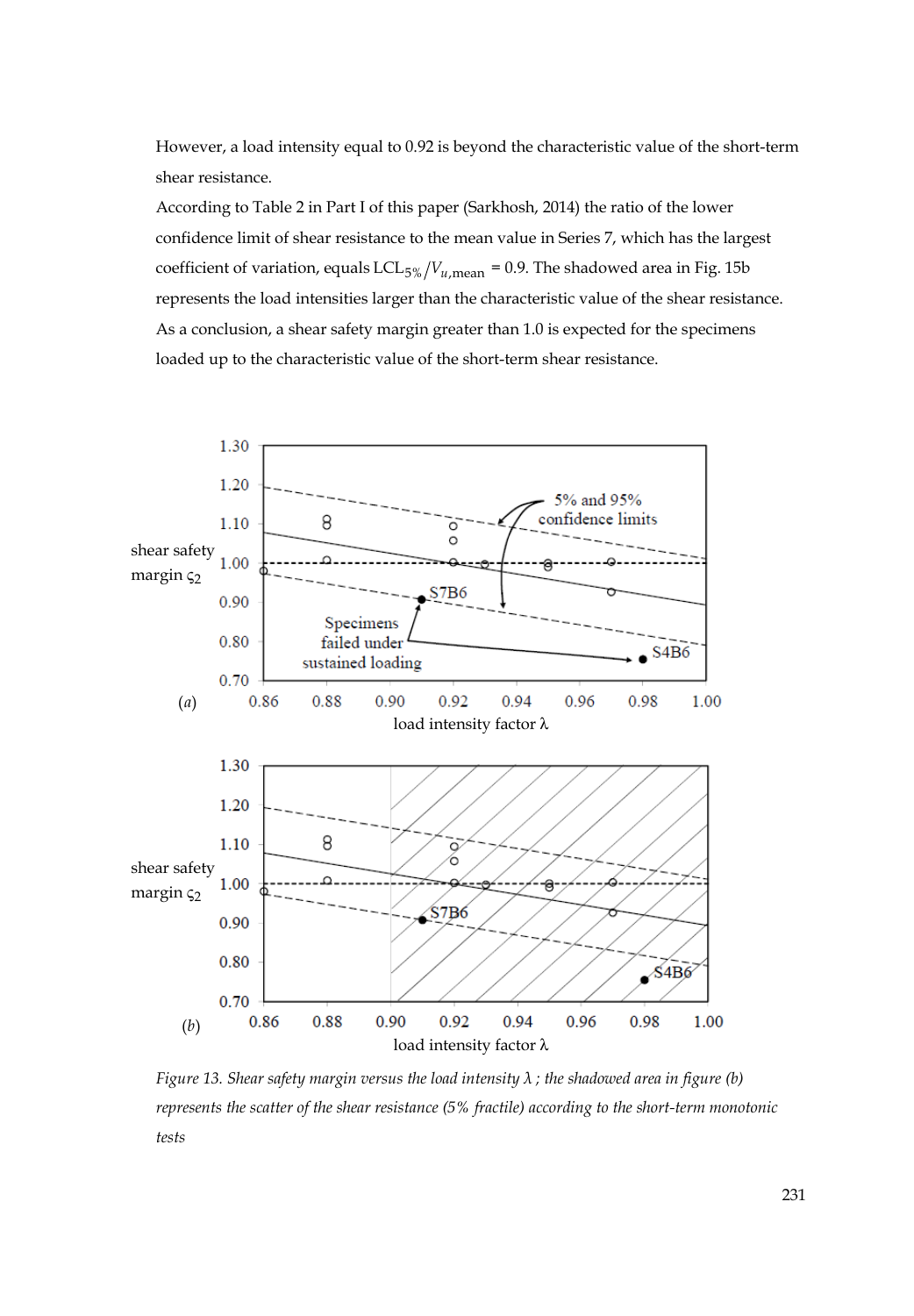However, a load intensity equal to 0.92 is beyond the characteristic value of the short-term shear resistance.

According to Table 2 in Part I of this paper (Sarkhosh, 2014) the ratio of the lower confidence limit of shear resistance to the mean value in Series 7, which has the largest coefficient of variation, equals LCL<sub>5%</sub>  $/V_{u, \text{mean}} = 0.9$ . The shadowed area in Fig. 15b represents the load intensities larger than the characteristic value of the shear resistance. As a conclusion, a shear safety margin greater than 1.0 is expected for the specimens loaded up to the characteristic value of the short-term shear resistance.



*Figure 13. Shear safety margin versus the load intensity λ ; the shadowed area in figure (b) represents the scatter of the shear resistance (5% fractile) according to the short-term monotonic tests*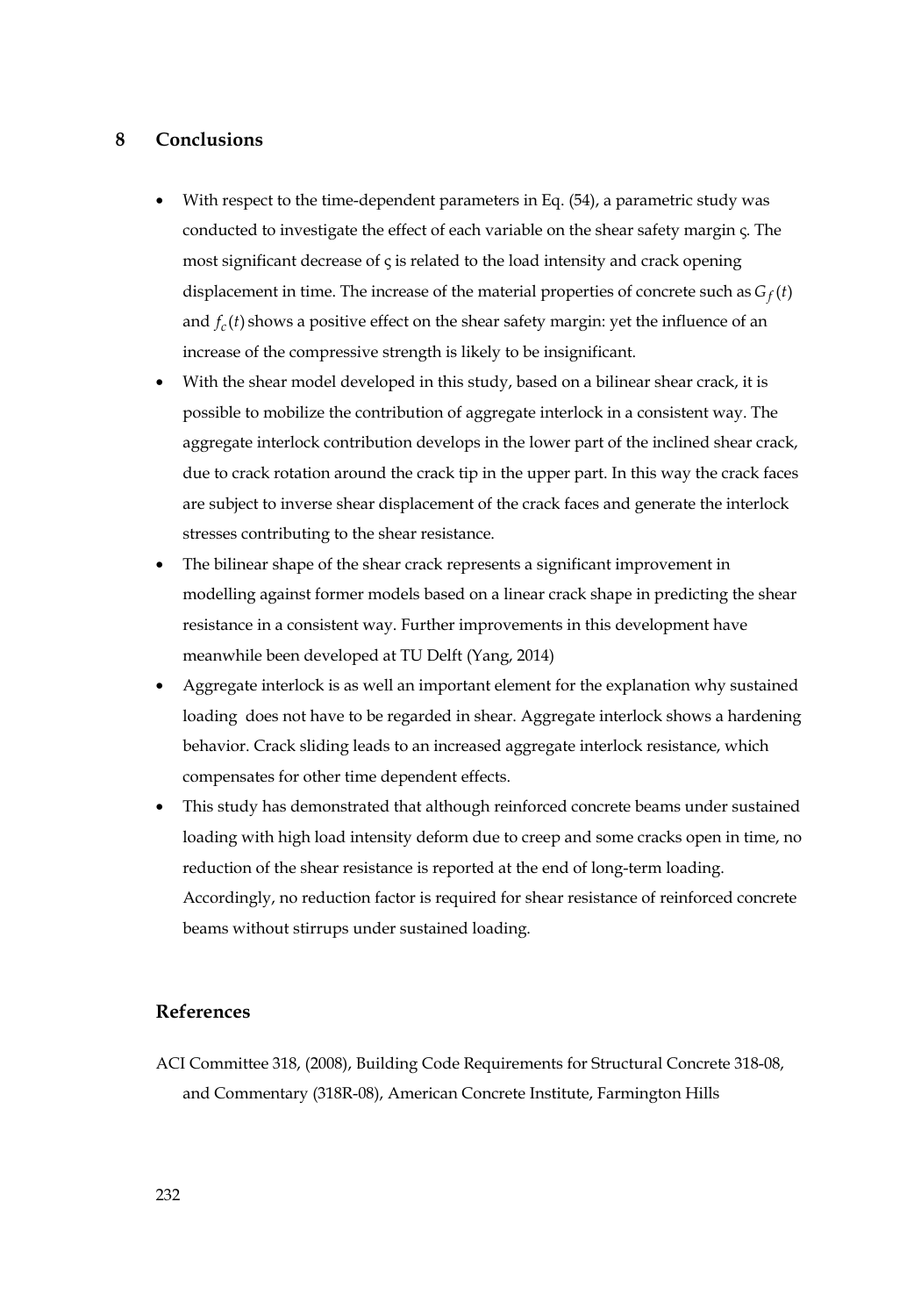#### **8 Conclusions**

- With respect to the time-dependent parameters in Eq. (54), a parametric study was conducted to investigate the effect of each variable on the shear safety margin ς. The most significant decrease of ς is related to the load intensity and crack opening displacement in time. The increase of the material properties of concrete such as  $G_f(t)$ and  $f_c(t)$  shows a positive effect on the shear safety margin: yet the influence of an increase of the compressive strength is likely to be insignificant.
- With the shear model developed in this study, based on a bilinear shear crack, it is possible to mobilize the contribution of aggregate interlock in a consistent way. The aggregate interlock contribution develops in the lower part of the inclined shear crack, due to crack rotation around the crack tip in the upper part. In this way the crack faces are subject to inverse shear displacement of the crack faces and generate the interlock stresses contributing to the shear resistance.
- The bilinear shape of the shear crack represents a significant improvement in modelling against former models based on a linear crack shape in predicting the shear resistance in a consistent way. Further improvements in this development have meanwhile been developed at TU Delft (Yang, 2014)
- Aggregate interlock is as well an important element for the explanation why sustained loading does not have to be regarded in shear. Aggregate interlock shows a hardening behavior. Crack sliding leads to an increased aggregate interlock resistance, which compensates for other time dependent effects.
- This study has demonstrated that although reinforced concrete beams under sustained loading with high load intensity deform due to creep and some cracks open in time, no reduction of the shear resistance is reported at the end of long-term loading. Accordingly, no reduction factor is required for shear resistance of reinforced concrete beams without stirrups under sustained loading.

#### **References**

ACI Committee 318, (2008), Building Code Requirements for Structural Concrete 318-08, and Commentary (318R-08), American Concrete Institute, Farmington Hills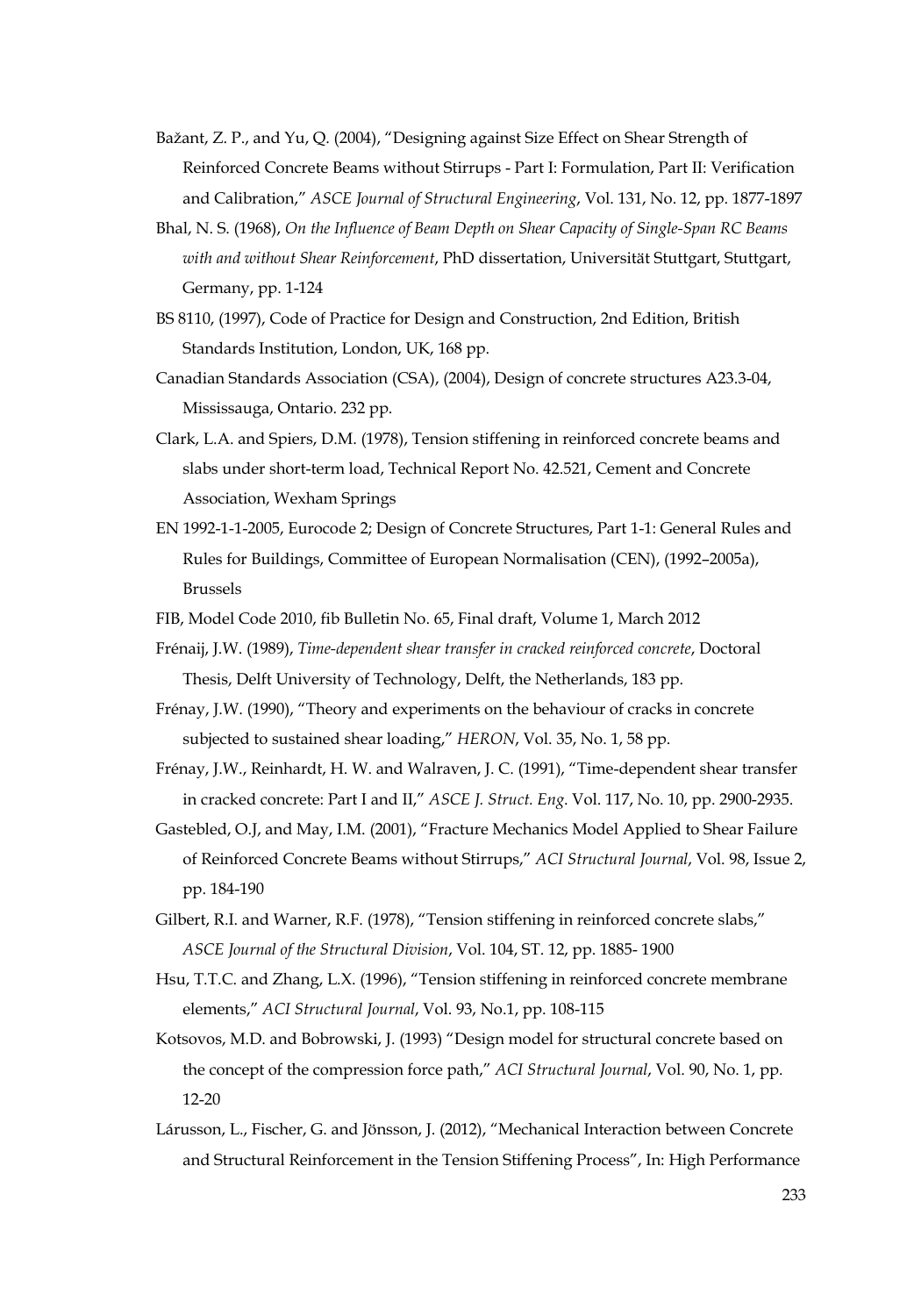- Bažant, Z. P., and Yu, Q. (2004), "Designing against Size Effect on Shear Strength of Reinforced Concrete Beams without Stirrups - Part I: Formulation, Part II: Verification and Calibration," *ASCE Journal of Structural Engineering*, Vol. 131, No. 12, pp. 1877-1897
- Bhal, N. S. (1968), *On the Influence of Beam Depth on Shear Capacity of Single-Span RC Beams with and without Shear Reinforcement*, PhD dissertation, Universität Stuttgart, Stuttgart, Germany, pp. 1-124
- BS 8110, (1997), Code of Practice for Design and Construction, 2nd Edition, British Standards Institution, London, UK, 168 pp.
- Canadian Standards Association (CSA), (2004), Design of concrete structures A23.3-04, Mississauga, Ontario. 232 pp.
- Clark, L.A. and Spiers, D.M. (1978), Tension stiffening in reinforced concrete beams and slabs under short-term load, Technical Report No. 42.521, Cement and Concrete Association, Wexham Springs
- EN 1992-1-1-2005, Eurocode 2; Design of Concrete Structures, Part 1-1: General Rules and Rules for Buildings, Committee of European Normalisation (CEN), (1992–2005a), Brussels
- FIB, Model Code 2010, fib Bulletin No. 65, Final draft, Volume 1, March 2012
- Frénaij, J.W. (1989), *Time-dependent shear transfer in cracked reinforced concrete*, Doctoral Thesis, Delft University of Technology, Delft, the Netherlands, 183 pp.
- Frénay, J.W. (1990), "Theory and experiments on the behaviour of cracks in concrete subjected to sustained shear loading," *HERON*, Vol. 35, No. 1, 58 pp.
- Frénay, J.W., Reinhardt, H. W. and Walraven, J. C. (1991), "Time-dependent shear transfer in cracked concrete: Part I and II," *ASCE J. Struct. Eng*. Vol. 117, No. 10, pp. 2900-2935.
- Gastebled, O.J, and May, I.M. (2001), "Fracture Mechanics Model Applied to Shear Failure of Reinforced Concrete Beams without Stirrups," *ACI Structural Journal*, Vol. 98, Issue 2, pp. 184-190
- Gilbert, R.I. and Warner, R.F. (1978), "Tension stiffening in reinforced concrete slabs," *ASCE Journal of the Structural Division*, Vol. 104, ST. 12, pp. 1885- 1900
- Hsu, T.T.C. and Zhang, L.X. (1996), "Tension stiffening in reinforced concrete membrane elements," *ACI Structural Journal*, Vol. 93, No.1, pp. 108-115
- Kotsovos, M.D. and Bobrowski, J. (1993) "Design model for structural concrete based on the concept of the compression force path," *ACI Structural Journal*, Vol. 90, No. 1, pp. 12-20
- Lárusson, L., Fischer, G. and Jönsson, J. (2012), "Mechanical Interaction between Concrete and Structural Reinforcement in the Tension Stiffening Process", In: High Performance